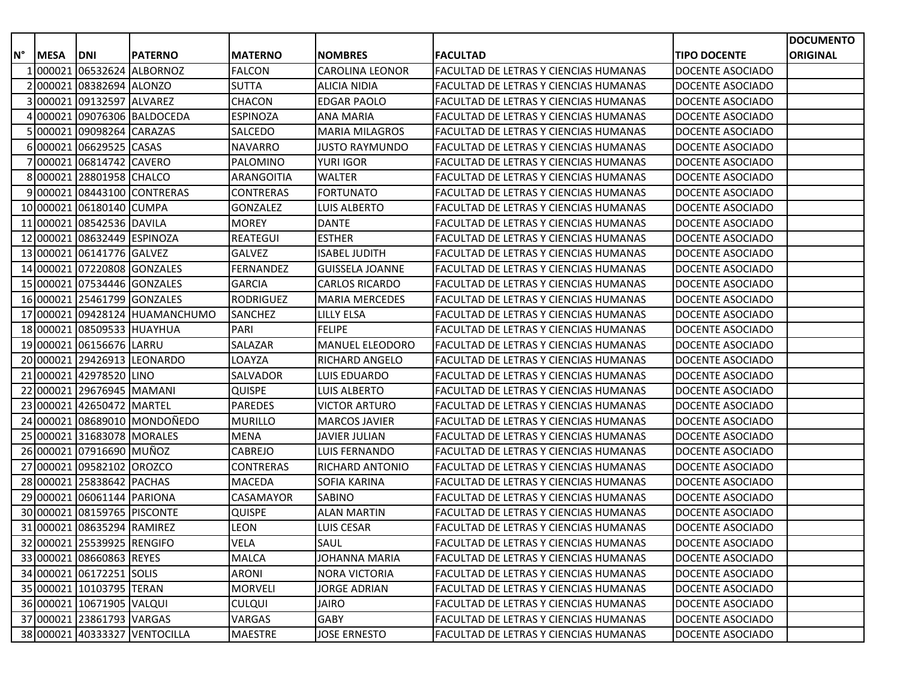|             |             |                             |                                |                  |                        |                                              |                     | <b>DOCUMENTO</b> |
|-------------|-------------|-----------------------------|--------------------------------|------------------|------------------------|----------------------------------------------|---------------------|------------------|
| $N^{\circ}$ | <b>MESA</b> | <b>DNI</b>                  | <b>PATERNO</b>                 | <b>MATERNO</b>   | <b>NOMBRES</b>         | <b>FACULTAD</b>                              | <b>TIPO DOCENTE</b> | <b>ORIGINAL</b>  |
|             | 1000021     |                             | 06532624 ALBORNOZ              | <b>FALCON</b>    | <b>CAROLINA LEONOR</b> | <b>FACULTAD DE LETRAS Y CIENCIAS HUMANAS</b> | DOCENTE ASOCIADO    |                  |
|             |             | 000021 08382694 ALONZO      |                                | <b>SUTTA</b>     | <b>ALICIA NIDIA</b>    | <b>FACULTAD DE LETRAS Y CIENCIAS HUMANAS</b> | DOCENTE ASOCIADO    |                  |
|             |             | 3 000021 09132597 ALVAREZ   |                                | <b>CHACON</b>    | <b>EDGAR PAOLO</b>     | <b>FACULTAD DE LETRAS Y CIENCIAS HUMANAS</b> | DOCENTE ASOCIADO    |                  |
|             |             |                             | 000021 09076306 BALDOCEDA      | <b>ESPINOZA</b>  | <b>ANA MARIA</b>       | <b>FACULTAD DE LETRAS Y CIENCIAS HUMANAS</b> | DOCENTE ASOCIADO    |                  |
|             |             | 500002109098264 CARAZAS     |                                | SALCEDO          | <b>MARIA MILAGROS</b>  | <b>FACULTAD DE LETRAS Y CIENCIAS HUMANAS</b> | DOCENTE ASOCIADO    |                  |
|             |             | 6 000021 06629525 CASAS     |                                | <b>NAVARRO</b>   | <b>JUSTO RAYMUNDO</b>  | <b>FACULTAD DE LETRAS Y CIENCIAS HUMANAS</b> | DOCENTE ASOCIADO    |                  |
|             |             | 000021 06814742 CAVERO      |                                | PALOMINO         | YURI IGOR              | FACULTAD DE LETRAS Y CIENCIAS HUMANAS        | DOCENTE ASOCIADO    |                  |
|             |             | 800002128801958 CHALCO      |                                | ARANGOITIA       | <b>WALTER</b>          | <b>FACULTAD DE LETRAS Y CIENCIAS HUMANAS</b> | DOCENTE ASOCIADO    |                  |
|             |             |                             | 9 000021 08443100 CONTRERAS    | <b>CONTRERAS</b> | <b>FORTUNATO</b>       | <b>FACULTAD DE LETRAS Y CIENCIAS HUMANAS</b> | DOCENTE ASOCIADO    |                  |
|             |             | 10 000021 06180140 CUMPA    |                                | <b>GONZALEZ</b>  | <b>LUIS ALBERTO</b>    | FACULTAD DE LETRAS Y CIENCIAS HUMANAS        | DOCENTE ASOCIADO    |                  |
|             |             | 11 000021 08542536 DAVILA   |                                | <b>MOREY</b>     | <b>DANTE</b>           | FACULTAD DE LETRAS Y CIENCIAS HUMANAS        | DOCENTE ASOCIADO    |                  |
|             |             | 12 000021 08632449 ESPINOZA |                                | <b>REATEGUI</b>  | <b>ESTHER</b>          | <b>FACULTAD DE LETRAS Y CIENCIAS HUMANAS</b> | DOCENTE ASOCIADO    |                  |
|             |             | 13 000021 06141776 GALVEZ   |                                | <b>GALVEZ</b>    | <b>ISABEL JUDITH</b>   | <b>FACULTAD DE LETRAS Y CIENCIAS HUMANAS</b> | DOCENTE ASOCIADO    |                  |
|             |             | 14 000021 07220808 GONZALES |                                | <b>FERNANDEZ</b> | <b>GUISSELA JOANNE</b> | <b>FACULTAD DE LETRAS Y CIENCIAS HUMANAS</b> | DOCENTE ASOCIADO    |                  |
|             |             |                             | 15 000021 07534446 GONZALES    | <b>GARCIA</b>    | <b>CARLOS RICARDO</b>  | <b>FACULTAD DE LETRAS Y CIENCIAS HUMANAS</b> | DOCENTE ASOCIADO    |                  |
|             |             |                             | 16 000021 25461799 GONZALES    | <b>RODRIGUEZ</b> | <b>MARIA MERCEDES</b>  | <b>FACULTAD DE LETRAS Y CIENCIAS HUMANAS</b> | DOCENTE ASOCIADO    |                  |
|             |             |                             | 17 000021 09428124 HUAMANCHUMO | <b>SANCHEZ</b>   | <b>LILLY ELSA</b>      | FACULTAD DE LETRAS Y CIENCIAS HUMANAS        | DOCENTE ASOCIADO    |                  |
|             |             | 18 000021 08509533 HUAYHUA  |                                | <b>PARI</b>      | <b>FELIPE</b>          | <b>FACULTAD DE LETRAS Y CIENCIAS HUMANAS</b> | DOCENTE ASOCIADO    |                  |
|             |             | 19 000021 06156676 LARRU    |                                | SALAZAR          | <b>MANUEL ELEODORO</b> | <b>FACULTAD DE LETRAS Y CIENCIAS HUMANAS</b> | DOCENTE ASOCIADO    |                  |
|             |             |                             | 20 000021 29426913 LEONARDO    | LOAYZA           | <b>RICHARD ANGELO</b>  | FACULTAD DE LETRAS Y CIENCIAS HUMANAS        | DOCENTE ASOCIADO    |                  |
|             |             | 21 000021 42978520 LINO     |                                | <b>SALVADOR</b>  | <b>LUIS EDUARDO</b>    | <b>FACULTAD DE LETRAS Y CIENCIAS HUMANAS</b> | DOCENTE ASOCIADO    |                  |
|             |             | 22 000021 29676945 MAMANI   |                                | <b>QUISPE</b>    | <b>LUIS ALBERTO</b>    | <b>FACULTAD DE LETRAS Y CIENCIAS HUMANAS</b> | DOCENTE ASOCIADO    |                  |
|             |             | 23 000021 42650472 MARTEL   |                                | <b>PAREDES</b>   | <b>VICTOR ARTURO</b>   | <b>FACULTAD DE LETRAS Y CIENCIAS HUMANAS</b> | DOCENTE ASOCIADO    |                  |
|             |             |                             | 24 000021 08689010 MONDOÑEDO   | <b>MURILLO</b>   | <b>MARCOS JAVIER</b>   | FACULTAD DE LETRAS Y CIENCIAS HUMANAS        | DOCENTE ASOCIADO    |                  |
|             |             | 25 000021 31683078 MORALES  |                                | <b>MENA</b>      | <b>JAVIER JULIAN</b>   | <b>FACULTAD DE LETRAS Y CIENCIAS HUMANAS</b> | DOCENTE ASOCIADO    |                  |
|             |             | 26 000021 07916690 MUÑOZ    |                                | <b>CABREJO</b>   | <b>LUIS FERNANDO</b>   | <b>FACULTAD DE LETRAS Y CIENCIAS HUMANAS</b> | DOCENTE ASOCIADO    |                  |
|             |             | 27 000021 09582102 OROZCO   |                                | <b>CONTRERAS</b> | <b>RICHARD ANTONIO</b> | <b>FACULTAD DE LETRAS Y CIENCIAS HUMANAS</b> | DOCENTE ASOCIADO    |                  |
|             |             | 28 000021 25838642 PACHAS   |                                | <b>MACEDA</b>    | SOFIA KARINA           | FACULTAD DE LETRAS Y CIENCIAS HUMANAS        | DOCENTE ASOCIADO    |                  |
|             |             | 29 000021 06061144 PARIONA  |                                | <b>CASAMAYOR</b> | <b>SABINO</b>          | <b>FACULTAD DE LETRAS Y CIENCIAS HUMANAS</b> | DOCENTE ASOCIADO    |                  |
|             |             | 30 000021 08159765 PISCONTE |                                | <b>QUISPE</b>    | <b>ALAN MARTIN</b>     | <b>FACULTAD DE LETRAS Y CIENCIAS HUMANAS</b> | DOCENTE ASOCIADO    |                  |
|             |             | 31 000021 08635294 RAMIREZ  |                                | <b>LEON</b>      | LUIS CESAR             | <b>FACULTAD DE LETRAS Y CIENCIAS HUMANAS</b> | DOCENTE ASOCIADO    |                  |
|             |             | 32 000021 25539925 RENGIFO  |                                | VELA             | SAUL                   | <b>FACULTAD DE LETRAS Y CIENCIAS HUMANAS</b> | DOCENTE ASOCIADO    |                  |
|             |             | 33 000021 08660863 REYES    |                                | <b>MALCA</b>     | JOHANNA MARIA          | FACULTAD DE LETRAS Y CIENCIAS HUMANAS        | DOCENTE ASOCIADO    |                  |
|             |             | 34 000021 06172251 SOLIS    |                                | ARONI            | <b>NORA VICTORIA</b>   | <b>FACULTAD DE LETRAS Y CIENCIAS HUMANAS</b> | DOCENTE ASOCIADO    |                  |
|             |             | 35 000021 10103795 TERAN    |                                | <b>MORVELI</b>   | JORGE ADRIAN           | <b>FACULTAD DE LETRAS Y CIENCIAS HUMANAS</b> | DOCENTE ASOCIADO    |                  |
|             |             | 36 000021 10671905 VALQUI   |                                | <b>CULQUI</b>    | JAIRO                  | <b>FACULTAD DE LETRAS Y CIENCIAS HUMANAS</b> | DOCENTE ASOCIADO    |                  |
|             |             | 37 000021 23861793 VARGAS   |                                | VARGAS           | <b>GABY</b>            | FACULTAD DE LETRAS Y CIENCIAS HUMANAS        | DOCENTE ASOCIADO    |                  |
|             |             |                             | 38 000021 40333327 VENTOCILLA  | MAESTRE          | <b>JOSE ERNESTO</b>    | FACULTAD DE LETRAS Y CIENCIAS HUMANAS        | DOCENTE ASOCIADO    |                  |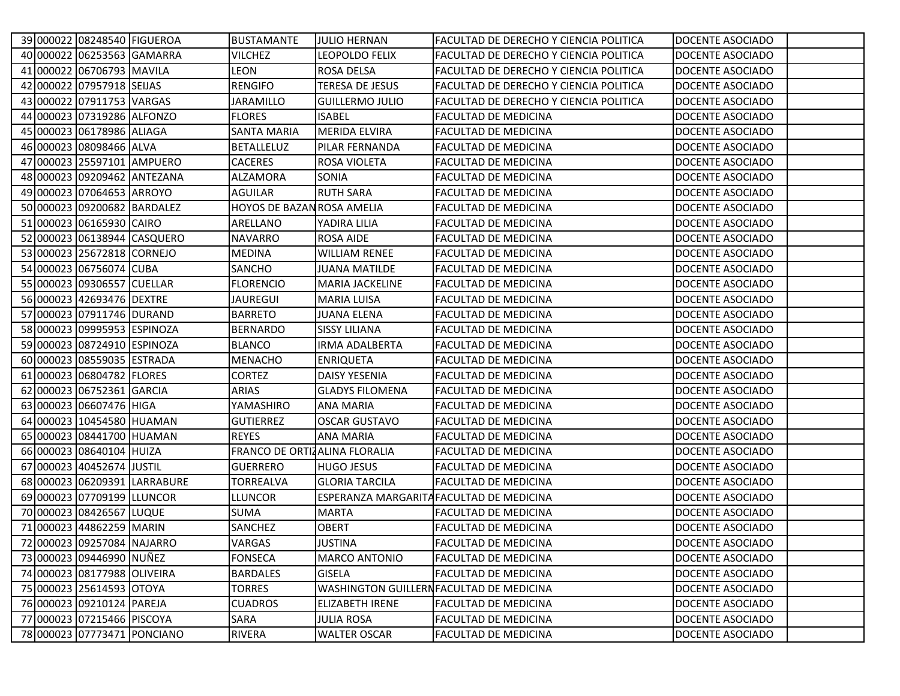|  |                             | 39 000022 08248540 FIGUEROA  | <b>BUSTAMANTE</b>             | <b>JULIO HERNAN</b>    | FACULTAD DE DERECHO Y CIENCIA POLITICA        | DOCENTE ASOCIADO |
|--|-----------------------------|------------------------------|-------------------------------|------------------------|-----------------------------------------------|------------------|
|  |                             | 40 000022 06253563 GAMARRA   | <b>VILCHEZ</b>                | LEOPOLDO FELIX         | <b>FACULTAD DE DERECHO Y CIENCIA POLITICA</b> | DOCENTE ASOCIADO |
|  | 41 000022 06706793 MAVILA   |                              | <b>LEON</b>                   | ROSA DELSA             | FACULTAD DE DERECHO Y CIENCIA POLITICA        | DOCENTE ASOCIADO |
|  | 42 000022 07957918 SEIJAS   |                              | <b>RENGIFO</b>                | TERESA DE JESUS        | <b>FACULTAD DE DERECHO Y CIENCIA POLITICA</b> | DOCENTE ASOCIADO |
|  | 43 000022 07911753 VARGAS   |                              | <b>JARAMILLO</b>              | <b>GUILLERMO JULIO</b> | <b>FACULTAD DE DERECHO Y CIENCIA POLITICA</b> | DOCENTE ASOCIADO |
|  | 44 000023 07319286 ALFONZO  |                              | <b>FLORES</b>                 | <b>ISABEL</b>          | <b>FACULTAD DE MEDICINA</b>                   | DOCENTE ASOCIADO |
|  | 45 000023 06178986 ALIAGA   |                              | <b>SANTA MARIA</b>            | <b>MERIDA ELVIRA</b>   | <b>FACULTAD DE MEDICINA</b>                   | DOCENTE ASOCIADO |
|  | 46 000023 08098466 ALVA     |                              | <b>BETALLELUZ</b>             | <b>PILAR FERNANDA</b>  | <b>FACULTAD DE MEDICINA</b>                   | DOCENTE ASOCIADO |
|  |                             | 47 000023 25597101 AMPUERO   | <b>CACERES</b>                | ROSA VIOLETA           | <b>FACULTAD DE MEDICINA</b>                   | DOCENTE ASOCIADO |
|  |                             | 48 000023 09209462 ANTEZANA  | ALZAMORA                      | SONIA                  | <b>FACULTAD DE MEDICINA</b>                   | DOCENTE ASOCIADO |
|  | 49 000023 07064653 ARROYO   |                              | <b>AGUILAR</b>                | <b>RUTH SARA</b>       | <b>FACULTAD DE MEDICINA</b>                   | DOCENTE ASOCIADO |
|  |                             | 50 000023 09200682 BARDALEZ  | HOYOS DE BAZAN ROSA AMELIA    |                        | <b>FACULTAD DE MEDICINA</b>                   | DOCENTE ASOCIADO |
|  | 51 000023 06165930 CAIRO    |                              | ARELLANO                      | YADIRA LILIA           | <b>FACULTAD DE MEDICINA</b>                   | DOCENTE ASOCIADO |
|  |                             | 52 000023 06138944 CASQUERO  | <b>NAVARRO</b>                | ROSA AIDE              | <b>FACULTAD DE MEDICINA</b>                   | DOCENTE ASOCIADO |
|  | 53 000023 25672818 CORNEJO  |                              | <b>MEDINA</b>                 | <b>WILLIAM RENEE</b>   | <b>FACULTAD DE MEDICINA</b>                   | DOCENTE ASOCIADO |
|  | 54 000023 06756074 CUBA     |                              | <b>SANCHO</b>                 | <b>JUANA MATILDE</b>   | <b>FACULTAD DE MEDICINA</b>                   | DOCENTE ASOCIADO |
|  | 55 000023 09306557 CUELLAR  |                              | <b>FLORENCIO</b>              | <b>MARIA JACKELINE</b> | <b>FACULTAD DE MEDICINA</b>                   | DOCENTE ASOCIADO |
|  | 56 000023 42693476 DEXTRE   |                              | <b>JAUREGUI</b>               | <b>MARIA LUISA</b>     | <b>FACULTAD DE MEDICINA</b>                   | DOCENTE ASOCIADO |
|  | 57 000023 07911746 DURAND   |                              | <b>BARRETO</b>                | <b>JUANA ELENA</b>     | <b>FACULTAD DE MEDICINA</b>                   | DOCENTE ASOCIADO |
|  | 58 000023 09995953 ESPINOZA |                              | <b>BERNARDO</b>               | <b>SISSY LILIANA</b>   | <b>FACULTAD DE MEDICINA</b>                   | DOCENTE ASOCIADO |
|  | 59 000023 08724910 ESPINOZA |                              | <b>BLANCO</b>                 | <b>IRMA ADALBERTA</b>  | <b>FACULTAD DE MEDICINA</b>                   | DOCENTE ASOCIADO |
|  | 60 000023 08559035 ESTRADA  |                              | <b>MENACHO</b>                | <b>ENRIQUETA</b>       | <b>FACULTAD DE MEDICINA</b>                   | DOCENTE ASOCIADO |
|  | 61 000023 06804782 FLORES   |                              | <b>CORTEZ</b>                 | <b>DAISY YESENIA</b>   | <b>FACULTAD DE MEDICINA</b>                   | DOCENTE ASOCIADO |
|  | 62 000023 06752361 GARCIA   |                              | <b>ARIAS</b>                  | <b>GLADYS FILOMENA</b> | <b>FACULTAD DE MEDICINA</b>                   | DOCENTE ASOCIADO |
|  | 63 000023 06607476 HIGA     |                              | YAMASHIRO                     | <b>ANA MARIA</b>       | <b>FACULTAD DE MEDICINA</b>                   | DOCENTE ASOCIADO |
|  | 64 000023 10454580 HUAMAN   |                              | <b>GUTIERREZ</b>              | <b>OSCAR GUSTAVO</b>   | <b>FACULTAD DE MEDICINA</b>                   | DOCENTE ASOCIADO |
|  | 65 000023 08441700 HUAMAN   |                              | <b>REYES</b>                  | <b>ANA MARIA</b>       | <b>FACULTAD DE MEDICINA</b>                   | DOCENTE ASOCIADO |
|  | 66 000023 08640104 HUIZA    |                              | FRANCO DE ORTIZALINA FLORALIA |                        | <b>FACULTAD DE MEDICINA</b>                   | DOCENTE ASOCIADO |
|  | 67 000023 40452674 JUSTIL   |                              | <b>GUERRERO</b>               | <b>HUGO JESUS</b>      | <b>FACULTAD DE MEDICINA</b>                   | DOCENTE ASOCIADO |
|  |                             | 68 000023 06209391 LARRABURE | <b>TORREALVA</b>              | <b>GLORIA TARCILA</b>  | <b>FACULTAD DE MEDICINA</b>                   | DOCENTE ASOCIADO |
|  | 69 000023 07709199 LLUNCOR  |                              | <b>LLUNCOR</b>                |                        | ESPERANZA MARGARITA FACULTAD DE MEDICINA      | DOCENTE ASOCIADO |
|  | 70 000023 08426567 LUQUE    |                              | <b>SUMA</b>                   | <b>MARTA</b>           | <b>FACULTAD DE MEDICINA</b>                   | DOCENTE ASOCIADO |
|  | 71 000023 44862259 MARIN    |                              | <b>SANCHEZ</b>                | <b>OBERT</b>           | <b>FACULTAD DE MEDICINA</b>                   | DOCENTE ASOCIADO |
|  | 72 000023 09257084 NAJARRO  |                              | VARGAS                        | <b>JUSTINA</b>         | FACULTAD DE MEDICINA                          | DOCENTE ASOCIADO |
|  | 73 000023 09446990 NUÑEZ    |                              | <b>FONSECA</b>                | <b>MARCO ANTONIO</b>   | FACULTAD DE MEDICINA                          | DOCENTE ASOCIADO |
|  | 74 000023 08177988 OLIVEIRA |                              | <b>BARDALES</b>               | <b>GISELA</b>          | <b>FACULTAD DE MEDICINA</b>                   | DOCENTE ASOCIADO |
|  | 75 000023 25614593 OTOYA    |                              | <b>TORRES</b>                 |                        | WASHINGTON GUILLERN FACULTAD DE MEDICINA      | DOCENTE ASOCIADO |
|  | 76 000023 09210124 PAREJA   |                              | <b>CUADROS</b>                | ELIZABETH IRENE        | <b>FACULTAD DE MEDICINA</b>                   | DOCENTE ASOCIADO |
|  | 77 000023 07215466 PISCOYA  |                              | SARA                          | <b>JULIA ROSA</b>      | <b>FACULTAD DE MEDICINA</b>                   | DOCENTE ASOCIADO |
|  |                             | 78 000023 07773471 PONCIANO  | RIVERA                        | <b>WALTER OSCAR</b>    | <b>FACULTAD DE MEDICINA</b>                   | DOCENTE ASOCIADO |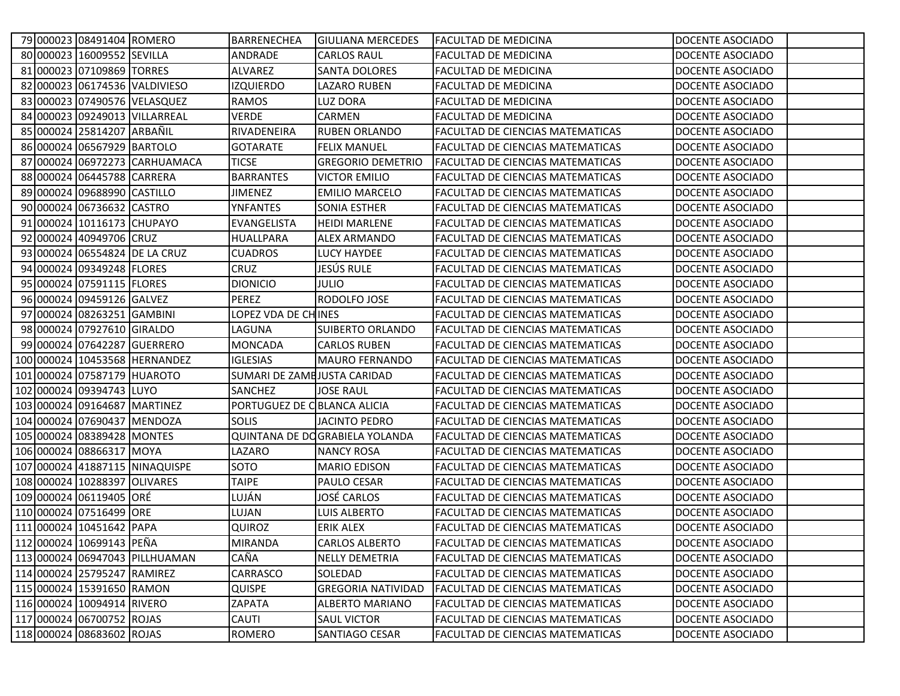|  | 79 000023 08491404 ROMERO    |                                | <b>BARRENECHEA</b>          | <b>GIULIANA MERCEDES</b>       | <b>FACULTAD DE MEDICINA</b>             | DOCENTE ASOCIADO |
|--|------------------------------|--------------------------------|-----------------------------|--------------------------------|-----------------------------------------|------------------|
|  | 80 000023 16009552 SEVILLA   |                                | ANDRADE                     | <b>CARLOS RAUL</b>             | <b>FACULTAD DE MEDICINA</b>             | DOCENTE ASOCIADO |
|  | 81 000023 07109869 TORRES    |                                | <b>ALVAREZ</b>              | SANTA DOLORES                  | <b>FACULTAD DE MEDICINA</b>             | DOCENTE ASOCIADO |
|  |                              | 82 000023 06174536 VALDIVIESO  | <b>IZQUIERDO</b>            | <b>LAZARO RUBEN</b>            | <b>FACULTAD DE MEDICINA</b>             | DOCENTE ASOCIADO |
|  |                              | 83 000023 07490576 VELASQUEZ   | <b>RAMOS</b>                | LUZ DORA                       | <b>FACULTAD DE MEDICINA</b>             | DOCENTE ASOCIADO |
|  |                              | 84 000023 09249013 VILLARREAL  | <b>VERDE</b>                | CARMEN                         | <b>FACULTAD DE MEDICINA</b>             | DOCENTE ASOCIADO |
|  | 85 000024 25814207 ARBAÑIL   |                                | RIVADENEIRA                 | <b>RUBEN ORLANDO</b>           | FACULTAD DE CIENCIAS MATEMATICAS        | DOCENTE ASOCIADO |
|  | 86 000024 06567929 BARTOLO   |                                | <b>GOTARATE</b>             | <b>FELIX MANUEL</b>            | <b>FACULTAD DE CIENCIAS MATEMATICAS</b> | DOCENTE ASOCIADO |
|  |                              | 87 000024 06972273 CARHUAMACA  | <b>TICSE</b>                | <b>GREGORIO DEMETRIO</b>       | <b>FACULTAD DE CIENCIAS MATEMATICAS</b> | DOCENTE ASOCIADO |
|  | 88 000024 06445788 CARRERA   |                                | <b>BARRANTES</b>            | <b>VICTOR EMILIO</b>           | <b>FACULTAD DE CIENCIAS MATEMATICAS</b> | DOCENTE ASOCIADO |
|  | 89 000024 09688990 CASTILLO  |                                | <b>JIMENEZ</b>              | <b>EMILIO MARCELO</b>          | <b>FACULTAD DE CIENCIAS MATEMATICAS</b> | DOCENTE ASOCIADO |
|  | 90 000024 06736632 CASTRO    |                                | <b>YNFANTES</b>             | <b>SONIA ESTHER</b>            | <b>FACULTAD DE CIENCIAS MATEMATICAS</b> | DOCENTE ASOCIADO |
|  | 91 000024 10116173 CHUPAYO   |                                | EVANGELISTA                 | <b>HEIDI MARLENE</b>           | <b>FACULTAD DE CIENCIAS MATEMATICAS</b> | DOCENTE ASOCIADO |
|  | 92 000024 40949706 CRUZ      |                                | HUALLPARA                   | <b>ALEX ARMANDO</b>            | <b>FACULTAD DE CIENCIAS MATEMATICAS</b> | DOCENTE ASOCIADO |
|  |                              | 93 000024 06554824 DE LA CRUZ  | <b>CUADROS</b>              | <b>LUCY HAYDEE</b>             | <b>FACULTAD DE CIENCIAS MATEMATICAS</b> | DOCENTE ASOCIADO |
|  | 94 000024 09349248 FLORES    |                                | <b>CRUZ</b>                 | JESÚS RULE                     | <b>FACULTAD DE CIENCIAS MATEMATICAS</b> | DOCENTE ASOCIADO |
|  | 95 000024 07591115 FLORES    |                                | <b>DIONICIO</b>             | <b>JULIO</b>                   | <b>FACULTAD DE CIENCIAS MATEMATICAS</b> | DOCENTE ASOCIADO |
|  | 96 000024 09459126 GALVEZ    |                                | PEREZ                       | <b>RODOLFO JOSE</b>            | <b>FACULTAD DE CIENCIAS MATEMATICAS</b> | DOCENTE ASOCIADO |
|  | 97 000024 08263251 GAMBINI   |                                | LOPEZ VDA DE CHINES         |                                | <b>FACULTAD DE CIENCIAS MATEMATICAS</b> | DOCENTE ASOCIADO |
|  | 98 000024 07927610 GIRALDO   |                                | LAGUNA                      | <b>SUIBERTO ORLANDO</b>        | <b>FACULTAD DE CIENCIAS MATEMATICAS</b> | DOCENTE ASOCIADO |
|  |                              | 99 000024 07642287 GUERRERO    | <b>MONCADA</b>              | <b>CARLOS RUBEN</b>            | <b>FACULTAD DE CIENCIAS MATEMATICAS</b> | DOCENTE ASOCIADO |
|  |                              | 100 000024 10453568 HERNANDEZ  | <b>IGLESIAS</b>             | <b>MAURO FERNANDO</b>          | <b>FACULTAD DE CIENCIAS MATEMATICAS</b> | DOCENTE ASOCIADO |
|  | 101 000024 07587179 HUAROTO  |                                | SUMARI DE ZAMEJUSTA CARIDAD |                                | <b>FACULTAD DE CIENCIAS MATEMATICAS</b> | DOCENTE ASOCIADO |
|  | 102 000024 09394743 LUYO     |                                | <b>SANCHEZ</b>              | <b>JOSE RAUL</b>               | FACULTAD DE CIENCIAS MATEMATICAS        | DOCENTE ASOCIADO |
|  |                              | 103 000024 09164687 MARTINEZ   | PORTUGUEZ DE CBLANCA ALICIA |                                | <b>FACULTAD DE CIENCIAS MATEMATICAS</b> | DOCENTE ASOCIADO |
|  | 104 000024 07690437 MENDOZA  |                                | <b>SOLIS</b>                | JACINTO PEDRO                  | <b>FACULTAD DE CIENCIAS MATEMATICAS</b> | DOCENTE ASOCIADO |
|  | 105 000024 08389428 MONTES   |                                |                             | QUINTANA DE DOGRABIELA YOLANDA | <b>FACULTAD DE CIENCIAS MATEMATICAS</b> | DOCENTE ASOCIADO |
|  | 106 000024 08866317 MOYA     |                                | LAZARO                      | <b>NANCY ROSA</b>              | FACULTAD DE CIENCIAS MATEMATICAS        | DOCENTE ASOCIADO |
|  |                              | 107 000024 41887115 NINAQUISPE | SOTO                        | <b>MARIO EDISON</b>            | FACULTAD DE CIENCIAS MATEMATICAS        | DOCENTE ASOCIADO |
|  | 108 000024 10288397 OLIVARES |                                | <b>TAIPE</b>                | <b>PAULO CESAR</b>             | <b>FACULTAD DE CIENCIAS MATEMATICAS</b> | DOCENTE ASOCIADO |
|  | 109 000024 06119405 ORÉ      |                                | LUJÁN                       | JOSÉ CARLOS                    | FACULTAD DE CIENCIAS MATEMATICAS        | DOCENTE ASOCIADO |
|  | 110 000024 07516499 ORE      |                                | LUJAN                       | <b>LUIS ALBERTO</b>            | <b>FACULTAD DE CIENCIAS MATEMATICAS</b> | DOCENTE ASOCIADO |
|  | 111 000024 10451642 PAPA     |                                | <b>QUIROZ</b>               | <b>ERIK ALEX</b>               | FACULTAD DE CIENCIAS MATEMATICAS        | DOCENTE ASOCIADO |
|  | 112 000024 10699143 PEÑA     |                                | <b>MIRANDA</b>              | CARLOS ALBERTO                 | FACULTAD DE CIENCIAS MATEMATICAS        | DOCENTE ASOCIADO |
|  |                              | 113 000024 06947043 PILLHUAMAN | CAÑA                        | <b>NELLY DEMETRIA</b>          | <b>FACULTAD DE CIENCIAS MATEMATICAS</b> | DOCENTE ASOCIADO |
|  | 114 000024 25795247 RAMIREZ  |                                | <b>CARRASCO</b>             | SOLEDAD                        | <b>FACULTAD DE CIENCIAS MATEMATICAS</b> | DOCENTE ASOCIADO |
|  | 115 000024 15391650 RAMON    |                                | <b>QUISPE</b>               | <b>GREGORIA NATIVIDAD</b>      | <b>FACULTAD DE CIENCIAS MATEMATICAS</b> | DOCENTE ASOCIADO |
|  | 116 000024 10094914 RIVERO   |                                | ZAPATA                      | <b>ALBERTO MARIANO</b>         | <b>FACULTAD DE CIENCIAS MATEMATICAS</b> | DOCENTE ASOCIADO |
|  | 117 000024 06700752 ROJAS    |                                | CAUTI                       | <b>SAUL VICTOR</b>             | <b>FACULTAD DE CIENCIAS MATEMATICAS</b> | DOCENTE ASOCIADO |
|  | 118 000024 08683602 ROJAS    |                                | <b>ROMERO</b>               | SANTIAGO CESAR                 | FACULTAD DE CIENCIAS MATEMATICAS        | DOCENTE ASOCIADO |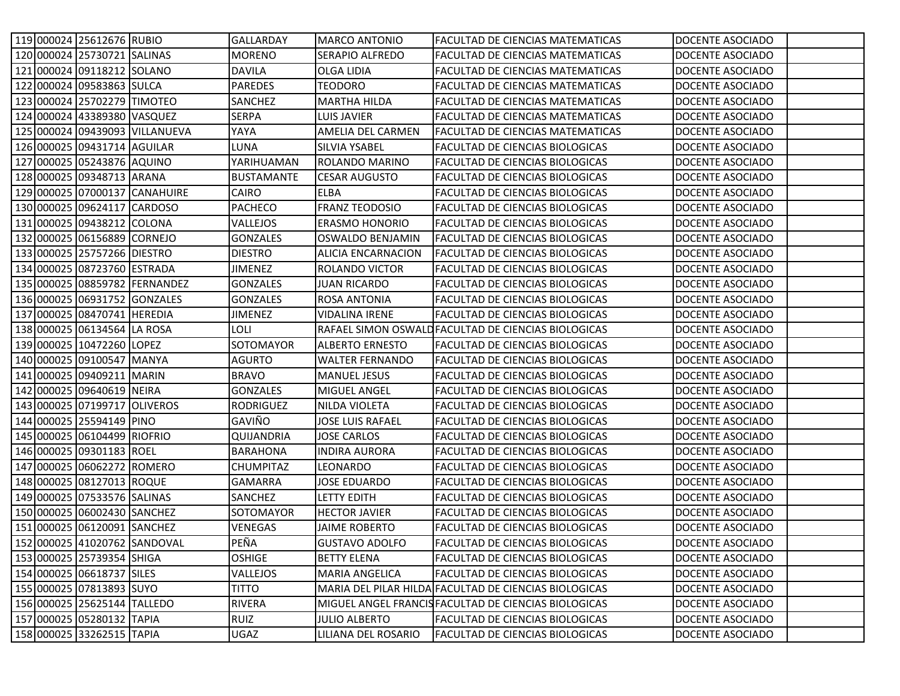|  | 119 000024 25612676 RUBIO    |                                | <b>GALLARDAY</b>  | <b>MARCO ANTONIO</b>      | <b>FACULTAD DE CIENCIAS MATEMATICAS</b>               | DOCENTE ASOCIADO |
|--|------------------------------|--------------------------------|-------------------|---------------------------|-------------------------------------------------------|------------------|
|  | 120 000024 25730721 SALINAS  |                                | <b>MORENO</b>     | SERAPIO ALFREDO           | <b>FACULTAD DE CIENCIAS MATEMATICAS</b>               | DOCENTE ASOCIADO |
|  | 121 000024 09118212 SOLANO   |                                | <b>DAVILA</b>     | <b>OLGA LIDIA</b>         | <b>FACULTAD DE CIENCIAS MATEMATICAS</b>               | DOCENTE ASOCIADO |
|  | 122 000024 09583863 SULCA    |                                | <b>PAREDES</b>    | <b>TEODORO</b>            | <b>FACULTAD DE CIENCIAS MATEMATICAS</b>               | DOCENTE ASOCIADO |
|  | 123 000024 25702279 TIMOTEO  |                                | SANCHEZ           | <b>MARTHA HILDA</b>       | <b>FACULTAD DE CIENCIAS MATEMATICAS</b>               | DOCENTE ASOCIADO |
|  | 124 000024 43389380 VASQUEZ  |                                | <b>SERPA</b>      | <b>LUIS JAVIER</b>        | <b>FACULTAD DE CIENCIAS MATEMATICAS</b>               | DOCENTE ASOCIADO |
|  |                              | 125 000024 09439093 VILLANUEVA | YAYA              | AMELIA DEL CARMEN         | <b>FACULTAD DE CIENCIAS MATEMATICAS</b>               | DOCENTE ASOCIADO |
|  | 126 000025 09431714 AGUILAR  |                                | <b>LUNA</b>       | <b>SILVIA YSABEL</b>      | <b>FACULTAD DE CIENCIAS BIOLOGICAS</b>                | DOCENTE ASOCIADO |
|  | 127 000025 05243876 AQUINO   |                                | YARIHUAMAN        | ROLANDO MARINO            | <b>FACULTAD DE CIENCIAS BIOLOGICAS</b>                | DOCENTE ASOCIADO |
|  | 128 000025 09348713 ARANA    |                                | <b>BUSTAMANTE</b> | <b>CESAR AUGUSTO</b>      | <b>FACULTAD DE CIENCIAS BIOLOGICAS</b>                | DOCENTE ASOCIADO |
|  |                              | 129 000025 07000137 CANAHUIRE  | <b>CAIRO</b>      | ELBA                      | <b>FACULTAD DE CIENCIAS BIOLOGICAS</b>                | DOCENTE ASOCIADO |
|  | 130 000025 09624117 CARDOSO  |                                | <b>PACHECO</b>    | <b>FRANZ TEODOSIO</b>     | <b>FACULTAD DE CIENCIAS BIOLOGICAS</b>                | DOCENTE ASOCIADO |
|  | 131 000025 09438212 COLONA   |                                | <b>VALLEJOS</b>   | <b>ERASMO HONORIO</b>     | <b>FACULTAD DE CIENCIAS BIOLOGICAS</b>                | DOCENTE ASOCIADO |
|  | 132 000025 06156889 CORNEJO  |                                | <b>GONZALES</b>   | <b>OSWALDO BENJAMIN</b>   | FACULTAD DE CIENCIAS BIOLOGICAS                       | DOCENTE ASOCIADO |
|  | 133 000025 25757266 DIESTRO  |                                | <b>DIESTRO</b>    | <b>ALICIA ENCARNACION</b> | <b>FACULTAD DE CIENCIAS BIOLOGICAS</b>                | DOCENTE ASOCIADO |
|  | 134 000025 08723760 ESTRADA  |                                | <b>JIMENEZ</b>    | ROLANDO VICTOR            | <b>FACULTAD DE CIENCIAS BIOLOGICAS</b>                | DOCENTE ASOCIADO |
|  |                              | 135 000025 08859782 FERNANDEZ  | <b>GONZALES</b>   | <b>JUAN RICARDO</b>       | <b>FACULTAD DE CIENCIAS BIOLOGICAS</b>                | DOCENTE ASOCIADO |
|  |                              | 136 000025 06931752 GONZALES   | <b>GONZALES</b>   | ROSA ANTONIA              | <b>FACULTAD DE CIENCIAS BIOLOGICAS</b>                | DOCENTE ASOCIADO |
|  | 137 000025 08470741 HEREDIA  |                                | <b>JIMENEZ</b>    | <b>VIDALINA IRENE</b>     | <b>FACULTAD DE CIENCIAS BIOLOGICAS</b>                | DOCENTE ASOCIADO |
|  | 138 000025 06134564 LA ROSA  |                                | LOLI              |                           | RAFAEL SIMON OSWALD FACULTAD DE CIENCIAS BIOLOGICAS   | DOCENTE ASOCIADO |
|  | 139 000025 10472260 LOPEZ    |                                | SOTOMAYOR         | <b>ALBERTO ERNESTO</b>    | <b>FACULTAD DE CIENCIAS BIOLOGICAS</b>                | DOCENTE ASOCIADO |
|  | 140 000025 09100547 MANYA    |                                | <b>AGURTO</b>     | <b>WALTER FERNANDO</b>    | <b>FACULTAD DE CIENCIAS BIOLOGICAS</b>                | DOCENTE ASOCIADO |
|  | 141 000025 09409211 MARIN    |                                | <b>BRAVO</b>      | <b>MANUEL JESUS</b>       | <b>FACULTAD DE CIENCIAS BIOLOGICAS</b>                | DOCENTE ASOCIADO |
|  | 142 000025 09640619 NEIRA    |                                | <b>GONZALES</b>   | <b>MIGUEL ANGEL</b>       | FACULTAD DE CIENCIAS BIOLOGICAS                       | DOCENTE ASOCIADO |
|  | 143 000025 07199717 OLIVEROS |                                | <b>RODRIGUEZ</b>  | NILDA VIOLETA             | <b>FACULTAD DE CIENCIAS BIOLOGICAS</b>                | DOCENTE ASOCIADO |
|  | 144 000025 25594149 PINO     |                                | GAVIÑO            | <b>JOSE LUIS RAFAEL</b>   | <b>FACULTAD DE CIENCIAS BIOLOGICAS</b>                | DOCENTE ASOCIADO |
|  | 145 000025 06104499 RIOFRIO  |                                | <b>QUIJANDRIA</b> | <b>JOSE CARLOS</b>        | <b>FACULTAD DE CIENCIAS BIOLOGICAS</b>                | DOCENTE ASOCIADO |
|  | 146 000025 09301183 ROEL     |                                | <b>BARAHONA</b>   | <b>INDIRA AURORA</b>      | <b>FACULTAD DE CIENCIAS BIOLOGICAS</b>                | DOCENTE ASOCIADO |
|  | 147 000025 06062272 ROMERO   |                                | <b>CHUMPITAZ</b>  | LEONARDO                  | FACULTAD DE CIENCIAS BIOLOGICAS                       | DOCENTE ASOCIADO |
|  | 148 000025 08127013 ROQUE    |                                | <b>GAMARRA</b>    | JOSE EDUARDO              | <b>FACULTAD DE CIENCIAS BIOLOGICAS</b>                | DOCENTE ASOCIADO |
|  | 149 000025 07533576 SALINAS  |                                | SANCHEZ           | LETTY EDITH               | FACULTAD DE CIENCIAS BIOLOGICAS                       | DOCENTE ASOCIADO |
|  | 150 000025 06002430 SANCHEZ  |                                | SOTOMAYOR         | <b>HECTOR JAVIER</b>      | <b>FACULTAD DE CIENCIAS BIOLOGICAS</b>                | DOCENTE ASOCIADO |
|  | 151 000025 06120091 SANCHEZ  |                                | <b>VENEGAS</b>    | <b>JAIME ROBERTO</b>      | <b>FACULTAD DE CIENCIAS BIOLOGICAS</b>                | DOCENTE ASOCIADO |
|  |                              | 152 000025 41020762 SANDOVAL   | PEÑA              | <b>GUSTAVO ADOLFO</b>     | FACULTAD DE CIENCIAS BIOLOGICAS                       | DOCENTE ASOCIADO |
|  | 153 000025 25739354 SHIGA    |                                | <b>OSHIGE</b>     | <b>BETTY ELENA</b>        | <b>FACULTAD DE CIENCIAS BIOLOGICAS</b>                | DOCENTE ASOCIADO |
|  | 154 000025 06618737 SILES    |                                | VALLEJOS          | <b>MARIA ANGELICA</b>     | <b>FACULTAD DE CIENCIAS BIOLOGICAS</b>                | DOCENTE ASOCIADO |
|  | 155 000025 07813893 SUYO     |                                | <b>TITTO</b>      |                           | MARIA DEL PILAR HILDA FACULTAD DE CIENCIAS BIOLOGICAS | DOCENTE ASOCIADO |
|  | 156 000025 25625144 TALLEDO  |                                | <b>RIVERA</b>     |                           | MIGUEL ANGEL FRANCIS FACULTAD DE CIENCIAS BIOLOGICAS  | DOCENTE ASOCIADO |
|  | 157 000025 05280132 TAPIA    |                                | <b>RUIZ</b>       | <b>JULIO ALBERTO</b>      | FACULTAD DE CIENCIAS BIOLOGICAS                       | DOCENTE ASOCIADO |
|  | 158 000025 33262515 TAPIA    |                                | UGAZ              | LILIANA DEL ROSARIO       | <b>FACULTAD DE CIENCIAS BIOLOGICAS</b>                | DOCENTE ASOCIADO |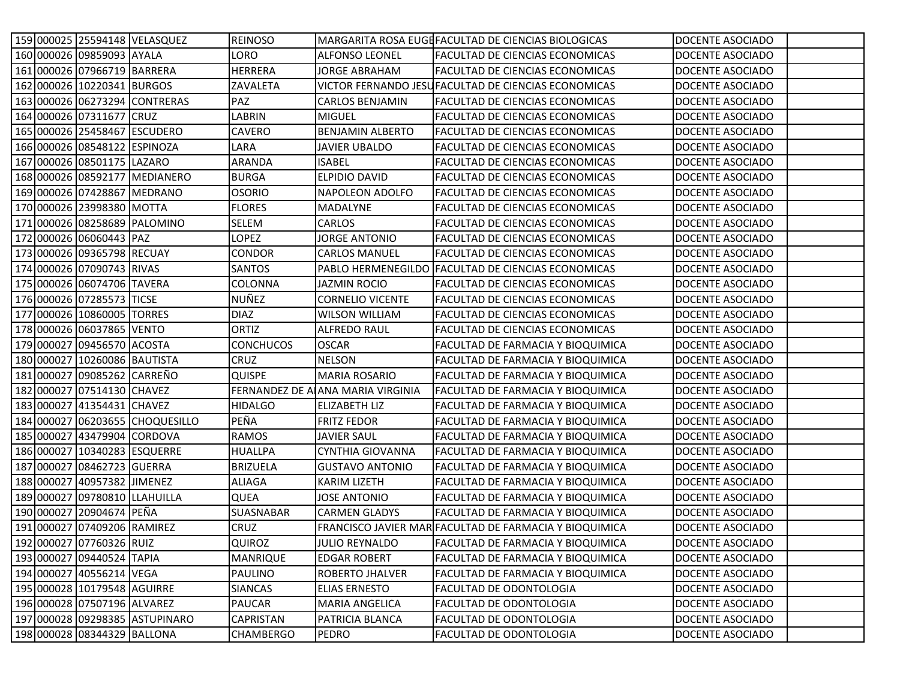|  |                              | 159 000025 25594148 VELASQUEZ   | <b>REINOSO</b>   |                                   | MARGARITA ROSA EUGEFACULTAD DE CIENCIAS BIOLOGICAS     | DOCENTE ASOCIADO |
|--|------------------------------|---------------------------------|------------------|-----------------------------------|--------------------------------------------------------|------------------|
|  | 160 000026 09859093 AYALA    |                                 | LORO             | <b>ALFONSO LEONEL</b>             | <b>FACULTAD DE CIENCIAS ECONOMICAS</b>                 | DOCENTE ASOCIADO |
|  | 161 000026 07966719 BARRERA  |                                 | <b>HERRERA</b>   | <b>JORGE ABRAHAM</b>              | <b>FACULTAD DE CIENCIAS ECONOMICAS</b>                 | DOCENTE ASOCIADO |
|  | 162 000026 10220341 BURGOS   |                                 | <b>ZAVALETA</b>  |                                   | VICTOR FERNANDO JESUFACULTAD DE CIENCIAS ECONOMICAS    | DOCENTE ASOCIADO |
|  |                              | 163 000026 06273294 CONTRERAS   | PAZ              | CARLOS BENJAMIN                   | <b>FACULTAD DE CIENCIAS ECONOMICAS</b>                 | DOCENTE ASOCIADO |
|  | 164 000026 07311677 CRUZ     |                                 | LABRIN           | <b>MIGUEL</b>                     | <b>FACULTAD DE CIENCIAS ECONOMICAS</b>                 | DOCENTE ASOCIADO |
|  |                              | 165 000026 25458467 ESCUDERO    | CAVERO           | <b>BENJAMIN ALBERTO</b>           | <b>FACULTAD DE CIENCIAS ECONOMICAS</b>                 | DOCENTE ASOCIADO |
|  | 166 000026 08548122 ESPINOZA |                                 | LARA             | <b>JAVIER UBALDO</b>              | <b>FACULTAD DE CIENCIAS ECONOMICAS</b>                 | DOCENTE ASOCIADO |
|  | 167 000026 08501175 LAZARO   |                                 | ARANDA           | <b>ISABEL</b>                     | <b>FACULTAD DE CIENCIAS ECONOMICAS</b>                 | DOCENTE ASOCIADO |
|  |                              | 168 000026 08592177 MEDIANERO   | <b>BURGA</b>     | ELPIDIO DAVID                     | <b>FACULTAD DE CIENCIAS ECONOMICAS</b>                 | DOCENTE ASOCIADO |
|  |                              | 169 000026 07428867 MEDRANO     | <b>OSORIO</b>    | NAPOLEON ADOLFO                   | <b>FACULTAD DE CIENCIAS ECONOMICAS</b>                 | DOCENTE ASOCIADO |
|  | 170 000026 23998380 MOTTA    |                                 | <b>FLORES</b>    | MADALYNE                          | <b>FACULTAD DE CIENCIAS ECONOMICAS</b>                 | DOCENTE ASOCIADO |
|  |                              | 171 000026 08258689 PALOMINO    | SELEM            | CARLOS                            | <b>FACULTAD DE CIENCIAS ECONOMICAS</b>                 | DOCENTE ASOCIADO |
|  | 172 000026 06060443 PAZ      |                                 | LOPEZ            | <b>JORGE ANTONIO</b>              | <b>FACULTAD DE CIENCIAS ECONOMICAS</b>                 | DOCENTE ASOCIADO |
|  | 173 000026 09365798 RECUAY   |                                 | <b>CONDOR</b>    | <b>CARLOS MANUEL</b>              | <b>FACULTAD DE CIENCIAS ECONOMICAS</b>                 | DOCENTE ASOCIADO |
|  | 174 000026 07090743 RIVAS    |                                 | <b>SANTOS</b>    |                                   | PABLO HERMENEGILDO FACULTAD DE CIENCIAS ECONOMICAS     | DOCENTE ASOCIADO |
|  | 175 000026 06074706 TAVERA   |                                 | <b>COLONNA</b>   | <b>JAZMIN ROCIO</b>               | <b>FACULTAD DE CIENCIAS ECONOMICAS</b>                 | DOCENTE ASOCIADO |
|  | 176 000026 07285573 TICSE    |                                 | NUÑEZ            | CORNELIO VICENTE                  | <b>FACULTAD DE CIENCIAS ECONOMICAS</b>                 | DOCENTE ASOCIADO |
|  | 177 000026 10860005 TORRES   |                                 | <b>DIAZ</b>      | <b>WILSON WILLIAM</b>             | <b>FACULTAD DE CIENCIAS ECONOMICAS</b>                 | DOCENTE ASOCIADO |
|  | 178 000026 06037865 VENTO    |                                 | ORTIZ            | <b>ALFREDO RAUL</b>               | <b>FACULTAD DE CIENCIAS ECONOMICAS</b>                 | DOCENTE ASOCIADO |
|  | 179 000027 09456570 ACOSTA   |                                 | <b>CONCHUCOS</b> | <b>OSCAR</b>                      | <b>FACULTAD DE FARMACIA Y BIOQUIMICA</b>               | DOCENTE ASOCIADO |
|  | 180 000027 10260086 BAUTISTA |                                 | <b>CRUZ</b>      | <b>NELSON</b>                     | <b>FACULTAD DE FARMACIA Y BIOQUIMICA</b>               | DOCENTE ASOCIADO |
|  | 181 000027 09085262 CARREÑO  |                                 | <b>QUISPE</b>    | <b>MARIA ROSARIO</b>              | <b>FACULTAD DE FARMACIA Y BIOQUIMICA</b>               | DOCENTE ASOCIADO |
|  | 182 000027 07514130 CHAVEZ   |                                 |                  | FERNANDEZ DE A ANA MARIA VIRGINIA | FACULTAD DE FARMACIA Y BIOQUIMICA                      | DOCENTE ASOCIADO |
|  | 183 000027 41354431 CHAVEZ   |                                 | <b>HIDALGO</b>   | ELIZABETH LIZ                     | <b>FACULTAD DE FARMACIA Y BIOQUIMICA</b>               | DOCENTE ASOCIADO |
|  |                              | 184 000027 06203655 CHOQUESILLO | PEÑA             | <b>FRITZ FEDOR</b>                | FACULTAD DE FARMACIA Y BIOQUIMICA                      | DOCENTE ASOCIADO |
|  | 185 000027 43479904 CORDOVA  |                                 | <b>RAMOS</b>     | <b>JAVIER SAUL</b>                | <b>FACULTAD DE FARMACIA Y BIOQUIMICA</b>               | DOCENTE ASOCIADO |
|  |                              | 186 000027 10340283 ESQUERRE    | <b>HUALLPA</b>   | <b>CYNTHIA GIOVANNA</b>           | FACULTAD DE FARMACIA Y BIOQUIMICA                      | DOCENTE ASOCIADO |
|  | 187 000027 08462723 GUERRA   |                                 | <b>BRIZUELA</b>  | <b>GUSTAVO ANTONIO</b>            | <b>FACULTAD DE FARMACIA Y BIOQUIMICA</b>               | DOCENTE ASOCIADO |
|  | 188 000027 40957382 JJIMENEZ |                                 | ALIAGA           | <b>KARIM LIZETH</b>               | FACULTAD DE FARMACIA Y BIOQUIMICA                      | DOCENTE ASOCIADO |
|  |                              | 189 000027 09780810 LLAHUILLA   | <b>QUEA</b>      | <b>JOSE ANTONIO</b>               | <b>FACULTAD DE FARMACIA Y BIOQUIMICA</b>               | DOCENTE ASOCIADO |
|  | 190 000027 20904674 PEÑA     |                                 | <b>SUASNABAR</b> | <b>CARMEN GLADYS</b>              | FACULTAD DE FARMACIA Y BIOQUIMICA                      | DOCENTE ASOCIADO |
|  | 191 000027 07409206 RAMIREZ  |                                 | <b>CRUZ</b>      |                                   | FRANCISCO JAVIER MAR FACULTAD DE FARMACIA Y BIOQUIMICA | DOCENTE ASOCIADO |
|  | 192 000027 07760326 RUIZ     |                                 | QUIROZ           | <b>JULIO REYNALDO</b>             | FACULTAD DE FARMACIA Y BIOQUIMICA                      | DOCENTE ASOCIADO |
|  | 193 000027 09440524 TAPIA    |                                 | <b>MANRIQUE</b>  | <b>EDGAR ROBERT</b>               | FACULTAD DE FARMACIA Y BIOQUIMICA                      | DOCENTE ASOCIADO |
|  | 194 000027 40556214 VEGA     |                                 | <b>PAULINO</b>   | <b>ROBERTO JHALVER</b>            | <b>FACULTAD DE FARMACIA Y BIOQUIMICA</b>               | DOCENTE ASOCIADO |
|  | 195 000028 10179548 AGUIRRE  |                                 | <b>SIANCAS</b>   | <b>ELIAS ERNESTO</b>              | <b>FACULTAD DE ODONTOLOGIA</b>                         | DOCENTE ASOCIADO |
|  | 196 000028 07507196 ALVAREZ  |                                 | <b>PAUCAR</b>    | <b>MARIA ANGELICA</b>             | <b>FACULTAD DE ODONTOLOGIA</b>                         | DOCENTE ASOCIADO |
|  |                              | 197 000028 09298385 ASTUPINARO  | CAPRISTAN        | PATRICIA BLANCA                   | <b>FACULTAD DE ODONTOLOGIA</b>                         | DOCENTE ASOCIADO |
|  | 198 000028 08344329 BALLONA  |                                 | <b>CHAMBERGO</b> | <b>PEDRO</b>                      | FACULTAD DE ODONTOLOGIA                                | DOCENTE ASOCIADO |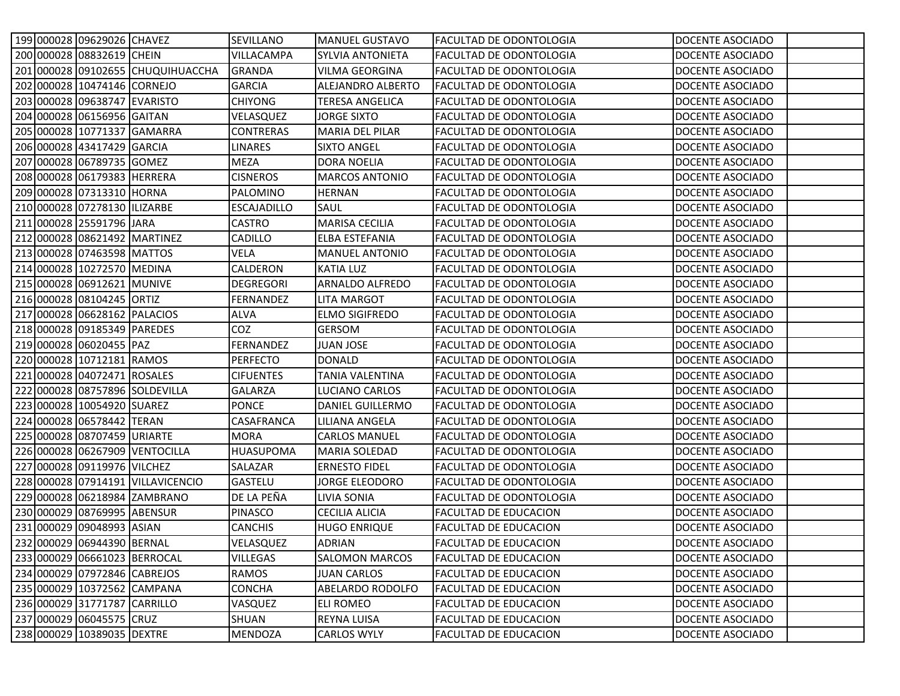|  | 199 000028 09629026 CHAVEZ   |                                   | SEVILLANO          | <b>MANUEL GUSTAVO</b>   | <b>FACULTAD DE ODONTOLOGIA</b> | DOCENTE ASOCIADO |
|--|------------------------------|-----------------------------------|--------------------|-------------------------|--------------------------------|------------------|
|  | 200 000028 08832619 CHEIN    |                                   | <b>VILLACAMPA</b>  | SYLVIA ANTONIETA        | FACULTAD DE ODONTOLOGIA        | DOCENTE ASOCIADO |
|  |                              | 201 000028 09102655 CHUQUIHUACCHA | <b>GRANDA</b>      | <b>VILMA GEORGINA</b>   | FACULTAD DE ODONTOLOGIA        | DOCENTE ASOCIADO |
|  | 202 000028 10474146 CORNEJO  |                                   | <b>GARCIA</b>      | ALEJANDRO ALBERTO       | <b>FACULTAD DE ODONTOLOGIA</b> | DOCENTE ASOCIADO |
|  | 203 000028 09638747 EVARISTO |                                   | <b>CHIYONG</b>     | TERESA ANGELICA         | FACULTAD DE ODONTOLOGIA        | DOCENTE ASOCIADO |
|  | 204 000028 06156956 GAITAN   |                                   | VELASQUEZ          | <b>JORGE SIXTO</b>      | FACULTAD DE ODONTOLOGIA        | DOCENTE ASOCIADO |
|  |                              | 205 000028 10771337 GAMARRA       | <b>CONTRERAS</b>   | <b>MARIA DEL PILAR</b>  | FACULTAD DE ODONTOLOGIA        | DOCENTE ASOCIADO |
|  | 206 000028 43417429 GARCIA   |                                   | <b>LINARES</b>     | <b>SIXTO ANGEL</b>      | FACULTAD DE ODONTOLOGIA        | DOCENTE ASOCIADO |
|  | 207 000028 06789735 GOMEZ    |                                   | <b>MEZA</b>        | <b>DORA NOELIA</b>      | FACULTAD DE ODONTOLOGIA        | DOCENTE ASOCIADO |
|  | 208 000028 06179383 HERRERA  |                                   | <b>CISNEROS</b>    | <b>MARCOS ANTONIO</b>   | <b>FACULTAD DE ODONTOLOGIA</b> | DOCENTE ASOCIADO |
|  | 209 000028 07313310 HORNA    |                                   | PALOMINO           | <b>HERNAN</b>           | FACULTAD DE ODONTOLOGIA        | DOCENTE ASOCIADO |
|  | 210 000028 07278130 ILIZARBE |                                   | <b>ESCAJADILLO</b> | SAUL                    | FACULTAD DE ODONTOLOGIA        | DOCENTE ASOCIADO |
|  | 211 000028 25591796 JARA     |                                   | <b>CASTRO</b>      | <b>MARISA CECILIA</b>   | FACULTAD DE ODONTOLOGIA        | DOCENTE ASOCIADO |
|  |                              | 212 000028 08621492 MARTINEZ      | CADILLO            | ELBA ESTEFANIA          | FACULTAD DE ODONTOLOGIA        | DOCENTE ASOCIADO |
|  | 213 000028 07463598 MATTOS   |                                   | VELA               | <b>MANUEL ANTONIO</b>   | FACULTAD DE ODONTOLOGIA        | DOCENTE ASOCIADO |
|  | 214 000028 10272570 MEDINA   |                                   | <b>CALDERON</b>    | <b>KATIA LUZ</b>        | FACULTAD DE ODONTOLOGIA        | DOCENTE ASOCIADO |
|  | 215 000028 06912621 MUNIVE   |                                   | <b>DEGREGORI</b>   | <b>ARNALDO ALFREDO</b>  | FACULTAD DE ODONTOLOGIA        | DOCENTE ASOCIADO |
|  | 216 000028 08104245 ORTIZ    |                                   | FERNANDEZ          | LITA MARGOT             | FACULTAD DE ODONTOLOGIA        | DOCENTE ASOCIADO |
|  | 217 000028 06628162 PALACIOS |                                   | <b>ALVA</b>        | <b>ELMO SIGIFREDO</b>   | FACULTAD DE ODONTOLOGIA        | DOCENTE ASOCIADO |
|  | 218 000028 09185349 PAREDES  |                                   | CO <sub>Z</sub>    | <b>GERSOM</b>           | FACULTAD DE ODONTOLOGIA        | DOCENTE ASOCIADO |
|  | 219 000028 06020455 PAZ      |                                   | <b>FERNANDEZ</b>   | <b>JUAN JOSE</b>        | FACULTAD DE ODONTOLOGIA        | DOCENTE ASOCIADO |
|  | 220 000028 10712181 RAMOS    |                                   | <b>PERFECTO</b>    | <b>DONALD</b>           | FACULTAD DE ODONTOLOGIA        | DOCENTE ASOCIADO |
|  | 221 000028 04072471 ROSALES  |                                   | <b>CIFUENTES</b>   | <b>TANIA VALENTINA</b>  | FACULTAD DE ODONTOLOGIA        | DOCENTE ASOCIADO |
|  |                              | 222 000028 08757896 SOLDEVILLA    | <b>GALARZA</b>     | LUCIANO CARLOS          | <b>FACULTAD DE ODONTOLOGIA</b> | DOCENTE ASOCIADO |
|  | 223 000028 10054920 SUAREZ   |                                   | <b>PONCE</b>       | <b>DANIEL GUILLERMO</b> | FACULTAD DE ODONTOLOGIA        | DOCENTE ASOCIADO |
|  | 224 000028 06578442 TERAN    |                                   | CASAFRANCA         | LILIANA ANGELA          | FACULTAD DE ODONTOLOGIA        | DOCENTE ASOCIADO |
|  | 225 000028 08707459 URIARTE  |                                   | <b>MORA</b>        | <b>CARLOS MANUEL</b>    | FACULTAD DE ODONTOLOGIA        | DOCENTE ASOCIADO |
|  |                              | 226 000028 06267909 VENTOCILLA    | <b>HUASUPOMA</b>   | <b>MARIA SOLEDAD</b>    | FACULTAD DE ODONTOLOGIA        | DOCENTE ASOCIADO |
|  | 227 000028 09119976 VILCHEZ  |                                   | SALAZAR            | <b>ERNESTO FIDEL</b>    | FACULTAD DE ODONTOLOGIA        | DOCENTE ASOCIADO |
|  |                              | 228 000028 07914191 VILLAVICENCIO | <b>GASTELU</b>     | <b>JORGE ELEODORO</b>   | <b>FACULTAD DE ODONTOLOGIA</b> | DOCENTE ASOCIADO |
|  |                              | 229 000028 06218984 ZAMBRANO      | DE LA PEÑA         | <b>LIVIA SONIA</b>      | <b>FACULTAD DE ODONTOLOGIA</b> | DOCENTE ASOCIADO |
|  | 230 000029 08769995 ABENSUR  |                                   | <b>PINASCO</b>     | <b>CECILIA ALICIA</b>   | <b>FACULTAD DE EDUCACION</b>   | DOCENTE ASOCIADO |
|  | 231 000029 09048993 ASIAN    |                                   | <b>CANCHIS</b>     | <b>HUGO ENRIQUE</b>     | <b>FACULTAD DE EDUCACION</b>   | DOCENTE ASOCIADO |
|  | 232 000029 06944390 BERNAL   |                                   | VELASQUEZ          | <b>ADRIAN</b>           | FACULTAD DE EDUCACION          | DOCENTE ASOCIADO |
|  |                              | 233 000029 06661023 BERROCAL      | <b>VILLEGAS</b>    | <b>SALOMON MARCOS</b>   | FACULTAD DE EDUCACION          | DOCENTE ASOCIADO |
|  | 234 000029 07972846 CABREJOS |                                   | RAMOS              | <b>JUAN CARLOS</b>      | <b>FACULTAD DE EDUCACION</b>   | DOCENTE ASOCIADO |
|  |                              | 235 000029 10372562 CAMPANA       | <b>CONCHA</b>      | ABELARDO RODOLFO        | <b>FACULTAD DE EDUCACION</b>   | DOCENTE ASOCIADO |
|  | 236 000029 31771787 CARRILLO |                                   | VASQUEZ            | <b>ELI ROMEO</b>        | <b>FACULTAD DE EDUCACION</b>   | DOCENTE ASOCIADO |
|  | 237 000029 06045575 CRUZ     |                                   | SHUAN              | REYNA LUISA             | <b>FACULTAD DE EDUCACION</b>   | DOCENTE ASOCIADO |
|  | 238 000029 10389035 DEXTRE   |                                   | MENDOZA            | <b>CARLOS WYLY</b>      | FACULTAD DE EDUCACION          | DOCENTE ASOCIADO |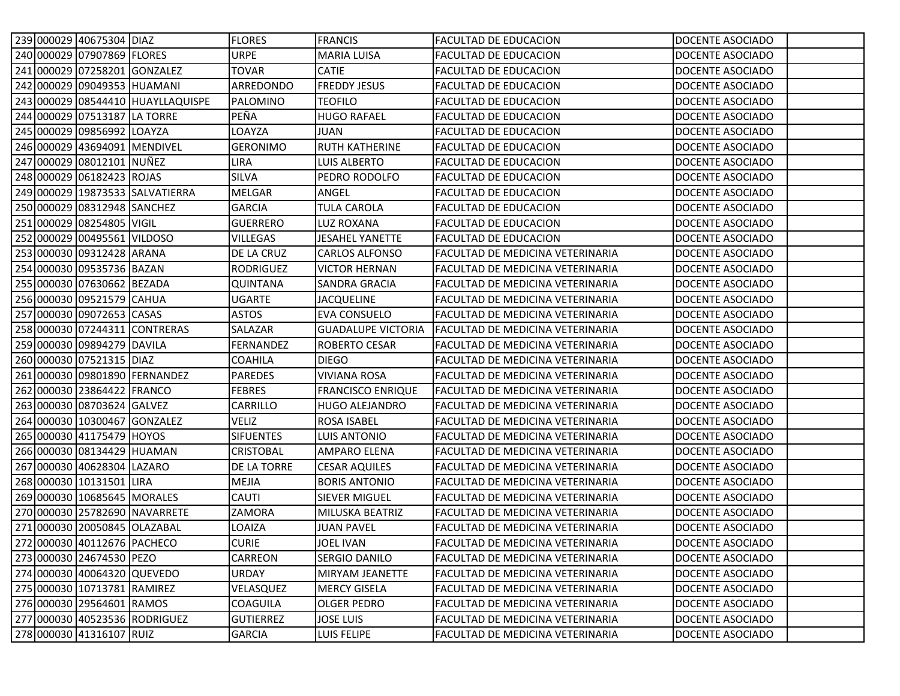| 239 000029 40675304 DIAZ      |                                   | <b>FLORES</b>    | <b>FRANCIS</b>            | <b>FACULTAD DE EDUCACION</b>            | DOCENTE ASOCIADO |
|-------------------------------|-----------------------------------|------------------|---------------------------|-----------------------------------------|------------------|
| 240 000029 07907869 FLORES    |                                   | <b>URPE</b>      | <b>MARIA LUISA</b>        | <b>FACULTAD DE EDUCACION</b>            | DOCENTE ASOCIADO |
| 241 000029 07258201 GONZALEZ  |                                   | <b>TOVAR</b>     | <b>CATIE</b>              | <b>FACULTAD DE EDUCACION</b>            | DOCENTE ASOCIADO |
| 242 000029 09049353 HUAMANI   |                                   | ARREDONDO        | <b>FREDDY JESUS</b>       | <b>FACULTAD DE EDUCACION</b>            | DOCENTE ASOCIADO |
|                               | 243 000029 08544410 HUAYLLAQUISPE | PALOMINO         | <b>TEOFILO</b>            | <b>FACULTAD DE EDUCACION</b>            | DOCENTE ASOCIADO |
| 244 000029 07513187 LA TORRE  |                                   | PEÑA             | <b>HUGO RAFAEL</b>        | <b>FACULTAD DE EDUCACION</b>            | DOCENTE ASOCIADO |
| 245 000029 09856992 LOAYZA    |                                   | LOAYZA           | JUAN                      | <b>FACULTAD DE EDUCACION</b>            | DOCENTE ASOCIADO |
| 246 000029 43694091 MENDIVEL  |                                   | <b>GERONIMO</b>  | <b>RUTH KATHERINE</b>     | <b>FACULTAD DE EDUCACION</b>            | DOCENTE ASOCIADO |
| 247 000029 08012101 NUÑEZ     |                                   | LIRA             | LUIS ALBERTO              | <b>FACULTAD DE EDUCACION</b>            | DOCENTE ASOCIADO |
| 248 000029 06182423 ROJAS     |                                   | <b>SILVA</b>     | PEDRO RODOLFO             | <b>FACULTAD DE EDUCACION</b>            | DOCENTE ASOCIADO |
|                               | 249 000029 19873533 SALVATIERRA   | <b>MELGAR</b>    | ANGEL                     | <b>FACULTAD DE EDUCACION</b>            | DOCENTE ASOCIADO |
| 250 000029 08312948 SANCHEZ   |                                   | <b>GARCIA</b>    | <b>TULA CAROLA</b>        | <b>FACULTAD DE EDUCACION</b>            | DOCENTE ASOCIADO |
| 251 000029 08254805 VIGIL     |                                   | <b>GUERRERO</b>  | LUZ ROXANA                | <b>FACULTAD DE EDUCACION</b>            | DOCENTE ASOCIADO |
| 252 000029 00495561 VILDOSO   |                                   | <b>VILLEGAS</b>  | <b>JESAHEL YANETTE</b>    | <b>FACULTAD DE EDUCACION</b>            | DOCENTE ASOCIADO |
| 253 000030 09312428 ARANA     |                                   | DE LA CRUZ       | <b>CARLOS ALFONSO</b>     | FACULTAD DE MEDICINA VETERINARIA        | DOCENTE ASOCIADO |
| 254 000030 09535736 BAZAN     |                                   | <b>RODRIGUEZ</b> | <b>VICTOR HERNAN</b>      | FACULTAD DE MEDICINA VETERINARIA        | DOCENTE ASOCIADO |
| 255 000030 07630662 BEZADA    |                                   | <b>QUINTANA</b>  | SANDRA GRACIA             | <b>FACULTAD DE MEDICINA VETERINARIA</b> | DOCENTE ASOCIADO |
| 256 000030 09521579 CAHUA     |                                   | <b>UGARTE</b>    | <b>JACQUELINE</b>         | FACULTAD DE MEDICINA VETERINARIA        | DOCENTE ASOCIADO |
| 257 000030 09072653 CASAS     |                                   | ASTOS            | <b>EVA CONSUELO</b>       | FACULTAD DE MEDICINA VETERINARIA        | DOCENTE ASOCIADO |
| 258 000030 07244311 CONTRERAS |                                   | SALAZAR          | <b>GUADALUPE VICTORIA</b> | FACULTAD DE MEDICINA VETERINARIA        | DOCENTE ASOCIADO |
| 259 000030 09894279 DAVILA    |                                   | FERNANDEZ        | <b>ROBERTO CESAR</b>      | <b>FACULTAD DE MEDICINA VETERINARIA</b> | DOCENTE ASOCIADO |
| 260 000030 07521315 DIAZ      |                                   | <b>COAHILA</b>   | <b>DIEGO</b>              | <b>FACULTAD DE MEDICINA VETERINARIA</b> | DOCENTE ASOCIADO |
| 261 000030 09801890 FERNANDEZ |                                   | <b>PAREDES</b>   | <b>VIVIANA ROSA</b>       | <b>FACULTAD DE MEDICINA VETERINARIA</b> | DOCENTE ASOCIADO |
| 262 000030 23864422 FRANCO    |                                   | <b>FEBRES</b>    | <b>FRANCISCO ENRIQUE</b>  | <b>FACULTAD DE MEDICINA VETERINARIA</b> | DOCENTE ASOCIADO |
| 263 000030 08703624 GALVEZ    |                                   | <b>CARRILLO</b>  | <b>HUGO ALEJANDRO</b>     | FACULTAD DE MEDICINA VETERINARIA        | DOCENTE ASOCIADO |
| 264 000030 10300467 GONZALEZ  |                                   | <b>VELIZ</b>     | ROSA ISABEL               | FACULTAD DE MEDICINA VETERINARIA        | DOCENTE ASOCIADO |
| 265 000030 41175479 HOYOS     |                                   | <b>SIFUENTES</b> | LUIS ANTONIO              | <b>FACULTAD DE MEDICINA VETERINARIA</b> | DOCENTE ASOCIADO |
| 266 000030 08134429 HUAMAN    |                                   | <b>CRISTOBAL</b> | <b>AMPARO ELENA</b>       | FACULTAD DE MEDICINA VETERINARIA        | DOCENTE ASOCIADO |
| 267 000030 40628304 LAZARO    |                                   | DE LA TORRE      | <b>CESAR AQUILES</b>      | FACULTAD DE MEDICINA VETERINARIA        | DOCENTE ASOCIADO |
| 268 000030 10131501 LIRA      |                                   | <b>MEJIA</b>     | <b>BORIS ANTONIO</b>      | <b>FACULTAD DE MEDICINA VETERINARIA</b> | DOCENTE ASOCIADO |
| 269 000030 10685645 MORALES   |                                   | <b>CAUTI</b>     | <b>SIEVER MIGUEL</b>      | FACULTAD DE MEDICINA VETERINARIA        | DOCENTE ASOCIADO |
| 270 000030 25782690 NAVARRETE |                                   | ZAMORA           | <b>MILUSKA BEATRIZ</b>    | <b>FACULTAD DE MEDICINA VETERINARIA</b> | DOCENTE ASOCIADO |
| 271 000030 20050845 OLAZABAL  |                                   | LOAIZA           | <b>JUAN PAVEL</b>         | FACULTAD DE MEDICINA VETERINARIA        | DOCENTE ASOCIADO |
| 272 000030 40112676 PACHECO   |                                   | <b>CURIE</b>     | <b>JOEL IVAN</b>          | FACULTAD DE MEDICINA VETERINARIA        | DOCENTE ASOCIADO |
| 273 000030 24674530 PEZO      |                                   | CARREON          | <b>SERGIO DANILO</b>      | FACULTAD DE MEDICINA VETERINARIA        | DOCENTE ASOCIADO |
| 274 000030 40064320 QUEVEDO   |                                   | URDAY            | <b>MIRYAM JEANETTE</b>    | FACULTAD DE MEDICINA VETERINARIA        | DOCENTE ASOCIADO |
| 275 000030 10713781 RAMIREZ   |                                   | VELASQUEZ        | <b>MERCY GISELA</b>       | FACULTAD DE MEDICINA VETERINARIA        | DOCENTE ASOCIADO |
| 276 000030 29564601 RAMOS     |                                   | COAGUILA         | <b>OLGER PEDRO</b>        | <b>FACULTAD DE MEDICINA VETERINARIA</b> | DOCENTE ASOCIADO |
| 277 000030 40523536 RODRIGUEZ |                                   | <b>GUTIERREZ</b> | <b>JOSE LUIS</b>          | FACULTAD DE MEDICINA VETERINARIA        | DOCENTE ASOCIADO |
| 278 000030 41316107 RUIZ      |                                   | <b>GARCIA</b>    | LUIS FELIPE               | FACULTAD DE MEDICINA VETERINARIA        | DOCENTE ASOCIADO |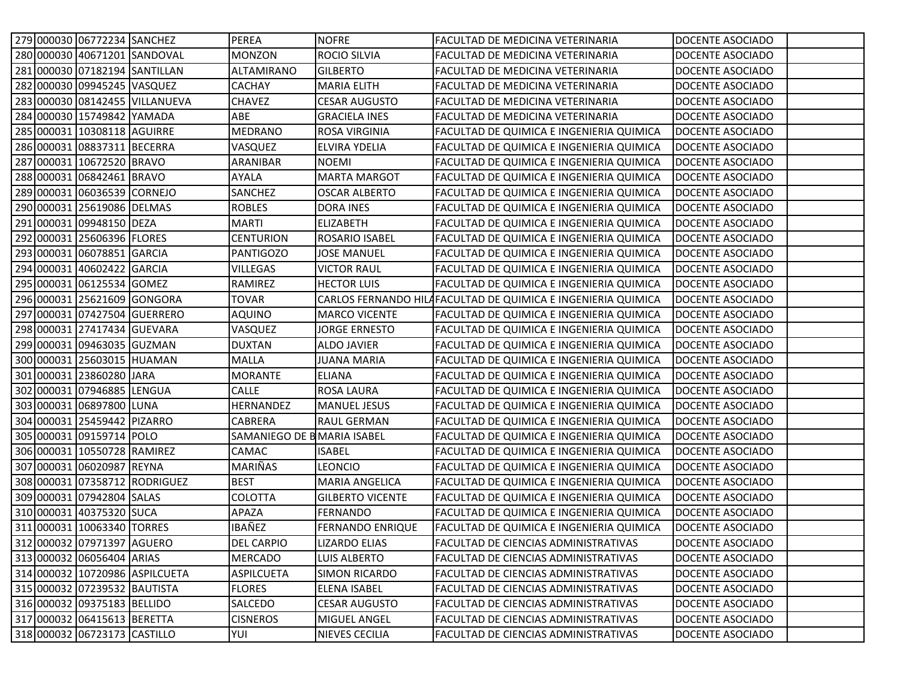|  | 279 000030 06772234 SANCHEZ  |                                | <b>PEREA</b>                | <b>NOFRE</b>            | <b>FACULTAD DE MEDICINA VETERINARIA</b>                      | DOCENTE ASOCIADO |
|--|------------------------------|--------------------------------|-----------------------------|-------------------------|--------------------------------------------------------------|------------------|
|  |                              | 280 000030 40671201 SANDOVAL   | <b>MONZON</b>               | <b>ROCIO SILVIA</b>     | <b>FACULTAD DE MEDICINA VETERINARIA</b>                      | DOCENTE ASOCIADO |
|  |                              | 281 000030 07182194 SANTILLAN  | <b>ALTAMIRANO</b>           | <b>GILBERTO</b>         | <b>FACULTAD DE MEDICINA VETERINARIA</b>                      | DOCENTE ASOCIADO |
|  | 282 000030 09945245 VASQUEZ  |                                | <b>CACHAY</b>               | <b>MARIA ELITH</b>      | <b>FACULTAD DE MEDICINA VETERINARIA</b>                      | DOCENTE ASOCIADO |
|  |                              | 283 000030 08142455 VILLANUEVA | <b>CHAVEZ</b>               | <b>CESAR AUGUSTO</b>    | FACULTAD DE MEDICINA VETERINARIA                             | DOCENTE ASOCIADO |
|  | 284 000030 15749842 YAMADA   |                                | ABE                         | <b>GRACIELA INES</b>    | <b>FACULTAD DE MEDICINA VETERINARIA</b>                      | DOCENTE ASOCIADO |
|  | 285 000031 10308118 AGUIRRE  |                                | <b>MEDRANO</b>              | <b>ROSA VIRGINIA</b>    | FACULTAD DE QUIMICA E INGENIERIA QUIMICA                     | DOCENTE ASOCIADO |
|  | 286 000031 08837311 BECERRA  |                                | VASQUEZ                     | <b>ELVIRA YDELIA</b>    | FACULTAD DE QUIMICA E INGENIERIA QUIMICA                     | DOCENTE ASOCIADO |
|  | 287 000031 10672520 BRAVO    |                                | <b>ARANIBAR</b>             | <b>NOEMI</b>            | FACULTAD DE QUIMICA E INGENIERIA QUIMICA                     | DOCENTE ASOCIADO |
|  | 288 000031 06842461 BRAVO    |                                | AYALA                       | <b>MARTA MARGOT</b>     | FACULTAD DE QUIMICA E INGENIERIA QUIMICA                     | DOCENTE ASOCIADO |
|  | 289 000031 06036539 CORNEJO  |                                | <b>SANCHEZ</b>              | <b>OSCAR ALBERTO</b>    | FACULTAD DE QUIMICA E INGENIERIA QUIMICA                     | DOCENTE ASOCIADO |
|  | 290 000031 25619086 DELMAS   |                                | <b>ROBLES</b>               | <b>DORA INES</b>        | FACULTAD DE QUIMICA E INGENIERIA QUIMICA                     | DOCENTE ASOCIADO |
|  | 291 000031 09948150 DEZA     |                                | <b>MARTI</b>                | <b>ELIZABETH</b>        | FACULTAD DE QUIMICA E INGENIERIA QUIMICA                     | DOCENTE ASOCIADO |
|  | 292 000031 25606396 FLORES   |                                | <b>CENTURION</b>            | <b>ROSARIO ISABEL</b>   | FACULTAD DE QUIMICA E INGENIERIA QUIMICA                     | DOCENTE ASOCIADO |
|  | 293 000031 06078851 GARCIA   |                                | <b>PANTIGOZO</b>            | <b>JOSE MANUEL</b>      | FACULTAD DE QUIMICA E INGENIERIA QUIMICA                     | DOCENTE ASOCIADO |
|  | 294 000031 40602422 GARCIA   |                                | <b>VILLEGAS</b>             | <b>VICTOR RAUL</b>      | FACULTAD DE QUIMICA E INGENIERIA QUIMICA                     | DOCENTE ASOCIADO |
|  | 295 000031 06125534 GOMEZ    |                                | <b>RAMIREZ</b>              | <b>HECTOR LUIS</b>      | FACULTAD DE QUIMICA E INGENIERIA QUIMICA                     | DOCENTE ASOCIADO |
|  |                              | 296 000031 25621609 GONGORA    | TOVAR                       |                         | CARLOS FERNANDO HILAFACULTAD DE QUIMICA E INGENIERIA QUIMICA | DOCENTE ASOCIADO |
|  |                              | 297 000031 07427504 GUERRERO   | <b>AQUINO</b>               | <b>MARCO VICENTE</b>    | FACULTAD DE QUIMICA E INGENIERIA QUIMICA                     | DOCENTE ASOCIADO |
|  | 298 000031 27417434 GUEVARA  |                                | VASQUEZ                     | <b>JORGE ERNESTO</b>    | FACULTAD DE QUIMICA E INGENIERIA QUIMICA                     | DOCENTE ASOCIADO |
|  | 299 000031 09463035 GUZMAN   |                                | <b>DUXTAN</b>               | <b>ALDO JAVIER</b>      | FACULTAD DE QUIMICA E INGENIERIA QUIMICA                     | DOCENTE ASOCIADO |
|  | 300 000031 25603015 HUAMAN   |                                | <b>MALLA</b>                | <b>JUANA MARIA</b>      | FACULTAD DE QUIMICA E INGENIERIA QUIMICA                     | DOCENTE ASOCIADO |
|  | 301 000031 23860280 JARA     |                                | <b>MORANTE</b>              | ELIANA                  | FACULTAD DE QUIMICA E INGENIERIA QUIMICA                     | DOCENTE ASOCIADO |
|  | 302 000031 07946885 LENGUA   |                                | <b>CALLE</b>                | <b>ROSA LAURA</b>       | FACULTAD DE QUIMICA E INGENIERIA QUIMICA                     | DOCENTE ASOCIADO |
|  | 303 000031 06897800 LUNA     |                                | HERNANDEZ                   | <b>MANUEL JESUS</b>     | FACULTAD DE QUIMICA E INGENIERIA QUIMICA                     | DOCENTE ASOCIADO |
|  | 304 000031 25459442 PIZARRO  |                                | <b>CABRERA</b>              | <b>RAUL GERMAN</b>      | FACULTAD DE QUIMICA E INGENIERIA QUIMICA                     | DOCENTE ASOCIADO |
|  | 305 000031 09159714 POLO     |                                | SAMANIEGO DE B MARIA ISABEL |                         | FACULTAD DE QUIMICA E INGENIERIA QUIMICA                     | DOCENTE ASOCIADO |
|  | 306 000031 10550728 RAMIREZ  |                                | <b>CAMAC</b>                | <b>ISABEL</b>           | FACULTAD DE QUIMICA E INGENIERIA QUIMICA                     | DOCENTE ASOCIADO |
|  | 307 000031 06020987 REYNA    |                                | <b>MARIÑAS</b>              | <b>LEONCIO</b>          | FACULTAD DE QUIMICA E INGENIERIA QUIMICA                     | DOCENTE ASOCIADO |
|  |                              | 308 000031 07358712 RODRIGUEZ  | <b>BEST</b>                 | <b>MARIA ANGELICA</b>   | FACULTAD DE QUIMICA E INGENIERIA QUIMICA                     | DOCENTE ASOCIADO |
|  | 309 000031 07942804 SALAS    |                                | <b>COLOTTA</b>              | <b>GILBERTO VICENTE</b> | FACULTAD DE QUIMICA E INGENIERIA QUIMICA                     | DOCENTE ASOCIADO |
|  | 310 000031 40375320 SUCA     |                                | <b>APAZA</b>                | <b>FERNANDO</b>         | FACULTAD DE QUIMICA E INGENIERIA QUIMICA                     | DOCENTE ASOCIADO |
|  | 311 000031 10063340 TORRES   |                                | IBAÑEZ                      | <b>FERNANDO ENRIQUE</b> | FACULTAD DE QUIMICA E INGENIERIA QUIMICA                     | DOCENTE ASOCIADO |
|  | 312 000032 07971397 AGUERO   |                                | <b>DEL CARPIO</b>           | <b>LIZARDO ELIAS</b>    | FACULTAD DE CIENCIAS ADMINISTRATIVAS                         | DOCENTE ASOCIADO |
|  | 313 000032 06056404 ARIAS    |                                | <b>MERCADO</b>              | LUIS ALBERTO            | <b>FACULTAD DE CIENCIAS ADMINISTRATIVAS</b>                  | DOCENTE ASOCIADO |
|  |                              | 314 000032 10720986 ASPILCUETA | <b>ASPILCUETA</b>           | <b>SIMON RICARDO</b>    | <b>FACULTAD DE CIENCIAS ADMINISTRATIVAS</b>                  | DOCENTE ASOCIADO |
|  | 315 000032 07239532 BAUTISTA |                                | <b>FLORES</b>               | <b>ELENA ISABEL</b>     | <b>FACULTAD DE CIENCIAS ADMINISTRATIVAS</b>                  | DOCENTE ASOCIADO |
|  | 316 000032 09375183 BELLIDO  |                                | SALCEDO                     | <b>CESAR AUGUSTO</b>    | <b>FACULTAD DE CIENCIAS ADMINISTRATIVAS</b>                  | DOCENTE ASOCIADO |
|  | 317 000032 06415613 BERETTA  |                                | <b>CISNEROS</b>             | <b>MIGUEL ANGEL</b>     | <b>FACULTAD DE CIENCIAS ADMINISTRATIVAS</b>                  | DOCENTE ASOCIADO |
|  | 318 000032 06723173 CASTILLO |                                | YUI                         | NIEVES CECILIA          | <b>FACULTAD DE CIENCIAS ADMINISTRATIVAS</b>                  | DOCENTE ASOCIADO |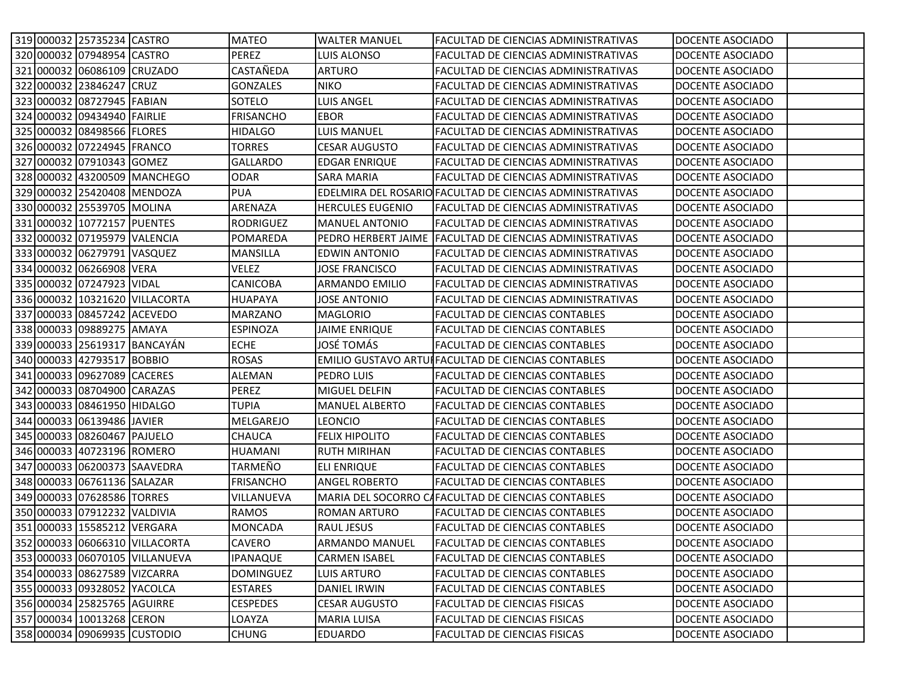|  | 319 000032 25735234 CASTRO   |                                | <b>MATEO</b>     | <b>WALTER MANUEL</b>    | <b>FACULTAD DE CIENCIAS ADMINISTRATIVAS</b>               | DOCENTE ASOCIADO |
|--|------------------------------|--------------------------------|------------------|-------------------------|-----------------------------------------------------------|------------------|
|  | 320 000032 07948954 CASTRO   |                                | <b>PEREZ</b>     | LUIS ALONSO             | <b>FACULTAD DE CIENCIAS ADMINISTRATIVAS</b>               | DOCENTE ASOCIADO |
|  | 321 000032 06086109 CRUZADO  |                                | <b>CASTAÑEDA</b> | <b>ARTURO</b>           | <b>FACULTAD DE CIENCIAS ADMINISTRATIVAS</b>               | DOCENTE ASOCIADO |
|  | 322 000032 23846247 CRUZ     |                                | <b>GONZALES</b>  | <b>NIKO</b>             | <b>FACULTAD DE CIENCIAS ADMINISTRATIVAS</b>               | DOCENTE ASOCIADO |
|  | 323 000032 08727945 FABIAN   |                                | SOTELO           | LUIS ANGEL              | <b>FACULTAD DE CIENCIAS ADMINISTRATIVAS</b>               | DOCENTE ASOCIADO |
|  | 324 000032 09434940 FAIRLIE  |                                | <b>FRISANCHO</b> | <b>EBOR</b>             | <b>FACULTAD DE CIENCIAS ADMINISTRATIVAS</b>               | DOCENTE ASOCIADO |
|  | 325 000032 08498566 FLORES   |                                | <b>HIDALGO</b>   | LUIS MANUEL             | <b>FACULTAD DE CIENCIAS ADMINISTRATIVAS</b>               | DOCENTE ASOCIADO |
|  | 326 000032 07224945 FRANCO   |                                | <b>TORRES</b>    | <b>CESAR AUGUSTO</b>    | <b>FACULTAD DE CIENCIAS ADMINISTRATIVAS</b>               | DOCENTE ASOCIADO |
|  | 327 000032 07910343 GOMEZ    |                                | <b>GALLARDO</b>  | <b>EDGAR ENRIQUE</b>    | <b>FACULTAD DE CIENCIAS ADMINISTRATIVAS</b>               | DOCENTE ASOCIADO |
|  |                              | 328 000032 43200509 MANCHEGO   | <b>ODAR</b>      | <b>SARA MARIA</b>       | <b>FACULTAD DE CIENCIAS ADMINISTRATIVAS</b>               | DOCENTE ASOCIADO |
|  | 329 000032 25420408 MENDOZA  |                                | <b>PUA</b>       |                         | EDELMIRA DEL ROSARIO FACULTAD DE CIENCIAS ADMINISTRATIVAS | DOCENTE ASOCIADO |
|  | 330 000032 25539705 MOLINA   |                                | ARENAZA          | <b>HERCULES EUGENIO</b> | <b>FACULTAD DE CIENCIAS ADMINISTRATIVAS</b>               | DOCENTE ASOCIADO |
|  | 331 000032 10772157 PUENTES  |                                | <b>RODRIGUEZ</b> | <b>MANUEL ANTONIO</b>   | <b>FACULTAD DE CIENCIAS ADMINISTRATIVAS</b>               | DOCENTE ASOCIADO |
|  | 332 000032 07195979 VALENCIA |                                | POMAREDA         |                         | PEDRO HERBERT JAIME FACULTAD DE CIENCIAS ADMINISTRATIVAS  | DOCENTE ASOCIADO |
|  | 333 000032 06279791 VASQUEZ  |                                | <b>MANSILLA</b>  | <b>EDWIN ANTONIO</b>    | <b>FACULTAD DE CIENCIAS ADMINISTRATIVAS</b>               | DOCENTE ASOCIADO |
|  | 334 000032 06266908 VERA     |                                | <b>VELEZ</b>     | <b>JOSE FRANCISCO</b>   | <b>FACULTAD DE CIENCIAS ADMINISTRATIVAS</b>               | DOCENTE ASOCIADO |
|  | 335 000032 07247923 VIDAL    |                                | <b>CANICOBA</b>  | <b>ARMANDO EMILIO</b>   | <b>FACULTAD DE CIENCIAS ADMINISTRATIVAS</b>               | DOCENTE ASOCIADO |
|  |                              | 336 000032 10321620 VILLACORTA | <b>HUAPAYA</b>   | JOSE ANTONIO            | <b>FACULTAD DE CIENCIAS ADMINISTRATIVAS</b>               | DOCENTE ASOCIADO |
|  | 337 000033 08457242 ACEVEDO  |                                | <b>MARZANO</b>   | <b>MAGLORIO</b>         | <b>FACULTAD DE CIENCIAS CONTABLES</b>                     | DOCENTE ASOCIADO |
|  | 338 000033 09889275 AMAYA    |                                | <b>ESPINOZA</b>  | <b>JAIME ENRIQUE</b>    | <b>FACULTAD DE CIENCIAS CONTABLES</b>                     | DOCENTE ASOCIADO |
|  |                              | 339 000033 25619317 BANCAYÁN   | <b>ECHE</b>      | <b>JOSÉ TOMÁS</b>       | <b>FACULTAD DE CIENCIAS CONTABLES</b>                     | DOCENTE ASOCIADO |
|  | 340 000033 42793517 BOBBIO   |                                | <b>ROSAS</b>     |                         | EMILIO GUSTAVO ARTUIFACULTAD DE CIENCIAS CONTABLES        | DOCENTE ASOCIADO |
|  | 341 000033 09627089 CACERES  |                                | ALEMAN           | PEDRO LUIS              | <b>FACULTAD DE CIENCIAS CONTABLES</b>                     | DOCENTE ASOCIADO |
|  | 342 000033 08704900 CARAZAS  |                                | PEREZ            | MIGUEL DELFIN           | <b>FACULTAD DE CIENCIAS CONTABLES</b>                     | DOCENTE ASOCIADO |
|  | 343 000033 08461950 HIDALGO  |                                | TUPIA            | <b>MANUEL ALBERTO</b>   | <b>FACULTAD DE CIENCIAS CONTABLES</b>                     | DOCENTE ASOCIADO |
|  | 344 000033 06139486 JAVIER   |                                | MELGAREJO        | <b>LEONCIO</b>          | <b>FACULTAD DE CIENCIAS CONTABLES</b>                     | DOCENTE ASOCIADO |
|  | 345 000033 08260467 PAJUELO  |                                | <b>CHAUCA</b>    | <b>FELIX HIPOLITO</b>   | <b>FACULTAD DE CIENCIAS CONTABLES</b>                     | DOCENTE ASOCIADO |
|  | 346 000033 40723196 ROMERO   |                                | <b>HUAMANI</b>   | <b>RUTH MIRIHAN</b>     | <b>FACULTAD DE CIENCIAS CONTABLES</b>                     | DOCENTE ASOCIADO |
|  | 347 000033 06200373 SAAVEDRA |                                | TARMEÑO          | <b>ELI ENRIQUE</b>      | <b>FACULTAD DE CIENCIAS CONTABLES</b>                     | DOCENTE ASOCIADO |
|  | 348 000033 06761136 SALAZAR  |                                | <b>FRISANCHO</b> | <b>ANGEL ROBERTO</b>    | <b>FACULTAD DE CIENCIAS CONTABLES</b>                     | DOCENTE ASOCIADO |
|  | 349 000033 07628586 TORRES   |                                | VILLANUEVA       |                         | MARIA DEL SOCORRO CAFACULTAD DE CIENCIAS CONTABLES        | DOCENTE ASOCIADO |
|  | 350 000033 07912232 VALDIVIA |                                | <b>RAMOS</b>     | ROMAN ARTURO            | <b>FACULTAD DE CIENCIAS CONTABLES</b>                     | DOCENTE ASOCIADO |
|  | 351 000033 15585212 VERGARA  |                                | <b>MONCADA</b>   | <b>RAUL JESUS</b>       | <b>FACULTAD DE CIENCIAS CONTABLES</b>                     | DOCENTE ASOCIADO |
|  |                              | 352 000033 06066310 VILLACORTA | <b>CAVERO</b>    | ARMANDO MANUEL          | <b>FACULTAD DE CIENCIAS CONTABLES</b>                     | DOCENTE ASOCIADO |
|  |                              | 353 000033 06070105 VILLANUEVA | <b>IPANAQUE</b>  | <b>CARMEN ISABEL</b>    | <b>FACULTAD DE CIENCIAS CONTABLES</b>                     | DOCENTE ASOCIADO |
|  | 354 000033 08627589 VIZCARRA |                                | <b>DOMINGUEZ</b> | LUIS ARTURO             | <b>FACULTAD DE CIENCIAS CONTABLES</b>                     | DOCENTE ASOCIADO |
|  | 355 000033 09328052 YACOLCA  |                                | <b>ESTARES</b>   | <b>DANIEL IRWIN</b>     | <b>FACULTAD DE CIENCIAS CONTABLES</b>                     | DOCENTE ASOCIADO |
|  | 356 000034 25825765 AGUIRRE  |                                | <b>CESPEDES</b>  | <b>CESAR AUGUSTO</b>    | <b>FACULTAD DE CIENCIAS FISICAS</b>                       | DOCENTE ASOCIADO |
|  | 357 000034 10013268 CERON    |                                | LOAYZA           | <b>MARIA LUISA</b>      | <b>FACULTAD DE CIENCIAS FISICAS</b>                       | DOCENTE ASOCIADO |
|  | 358 000034 09069935 CUSTODIO |                                | <b>CHUNG</b>     | EDUARDO                 | <b>FACULTAD DE CIENCIAS FISICAS</b>                       | DOCENTE ASOCIADO |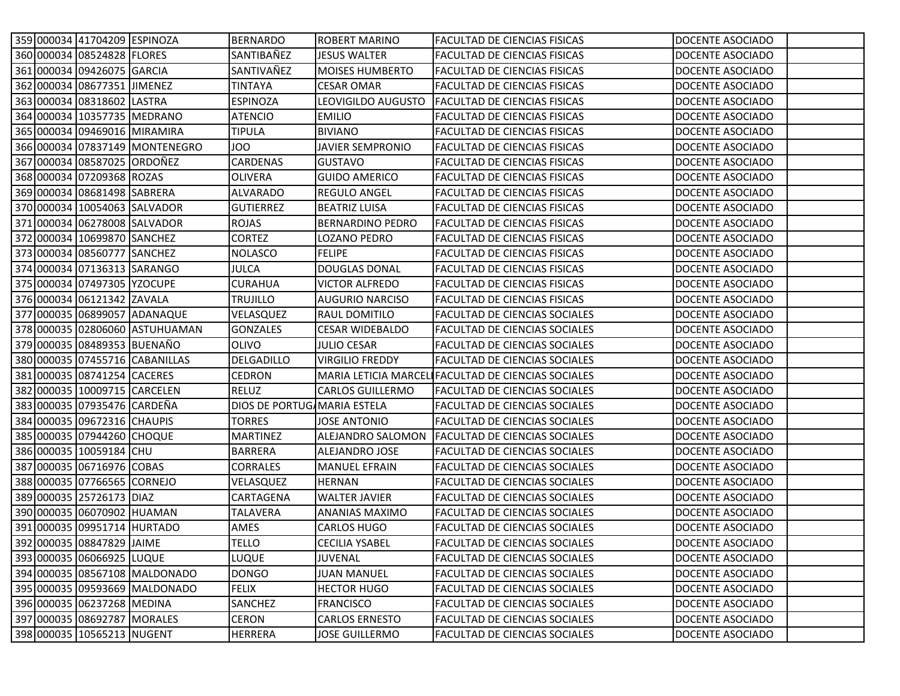|  | 359 000034 41704209 ESPINOZA |                                | <b>BERNARDO</b>             | <b>ROBERT MARINO</b>    | <b>FACULTAD DE CIENCIAS FISICAS</b>                 | DOCENTE ASOCIADO |
|--|------------------------------|--------------------------------|-----------------------------|-------------------------|-----------------------------------------------------|------------------|
|  | 360 000034 08524828 FLORES   |                                | SANTIBAÑEZ                  | <b>JESUS WALTER</b>     | FACULTAD DE CIENCIAS FISICAS                        | DOCENTE ASOCIADO |
|  | 361 000034 09426075 GARCIA   |                                | SANTIVAÑEZ                  | <b>MOISES HUMBERTO</b>  | FACULTAD DE CIENCIAS FISICAS                        | DOCENTE ASOCIADO |
|  | 362 000034 08677351 JIMENEZ  |                                | TINTAYA                     | <b>CESAR OMAR</b>       | FACULTAD DE CIENCIAS FISICAS                        | DOCENTE ASOCIADO |
|  | 363 000034 08318602 LASTRA   |                                | <b>ESPINOZA</b>             | LEOVIGILDO AUGUSTO      | <b>FACULTAD DE CIENCIAS FISICAS</b>                 | DOCENTE ASOCIADO |
|  |                              | 364 000034 10357735 MEDRANO    | <b>ATENCIO</b>              | <b>EMILIO</b>           | FACULTAD DE CIENCIAS FISICAS                        | DOCENTE ASOCIADO |
|  |                              | 365 000034 09469016 MIRAMIRA   | TIPULA                      | <b>BIVIANO</b>          | FACULTAD DE CIENCIAS FISICAS                        | DOCENTE ASOCIADO |
|  |                              | 366 000034 07837149 MONTENEGRO | <b>JOO</b>                  | <b>JAVIER SEMPRONIO</b> | FACULTAD DE CIENCIAS FISICAS                        | DOCENTE ASOCIADO |
|  | 367 000034 08587025 ORDOÑEZ  |                                | <b>CARDENAS</b>             | <b>GUSTAVO</b>          | FACULTAD DE CIENCIAS FISICAS                        | DOCENTE ASOCIADO |
|  | 368 000034 07209368 ROZAS    |                                | <b>OLIVERA</b>              | <b>GUIDO AMERICO</b>    | FACULTAD DE CIENCIAS FISICAS                        | DOCENTE ASOCIADO |
|  | 369 000034 08681498 SABRERA  |                                | <b>ALVARADO</b>             | <b>REGULO ANGEL</b>     | FACULTAD DE CIENCIAS FISICAS                        | DOCENTE ASOCIADO |
|  |                              | 370 000034 10054063 SALVADOR   | <b>GUTIERREZ</b>            | <b>BEATRIZ LUISA</b>    | FACULTAD DE CIENCIAS FISICAS                        | DOCENTE ASOCIADO |
|  |                              | 371 000034 06278008 SALVADOR   | <b>ROJAS</b>                | <b>BERNARDINO PEDRO</b> | <b>FACULTAD DE CIENCIAS FISICAS</b>                 | DOCENTE ASOCIADO |
|  | 372 000034 10699870 SANCHEZ  |                                | <b>CORTEZ</b>               | LOZANO PEDRO            | FACULTAD DE CIENCIAS FISICAS                        | DOCENTE ASOCIADO |
|  | 373 000034 08560777 SANCHEZ  |                                | <b>NOLASCO</b>              | <b>FELIPE</b>           | FACULTAD DE CIENCIAS FISICAS                        | DOCENTE ASOCIADO |
|  | 374 000034 07136313 SARANGO  |                                | JULCA                       | <b>DOUGLAS DONAL</b>    | FACULTAD DE CIENCIAS FISICAS                        | DOCENTE ASOCIADO |
|  | 375 000034 07497305 YZOCUPE  |                                | <b>CURAHUA</b>              | <b>VICTOR ALFREDO</b>   | FACULTAD DE CIENCIAS FISICAS                        | DOCENTE ASOCIADO |
|  | 376 000034 06121342 ZAVALA   |                                | <b>TRUJILLO</b>             | <b>AUGURIO NARCISO</b>  | <b>FACULTAD DE CIENCIAS FISICAS</b>                 | DOCENTE ASOCIADO |
|  |                              | 377 000035 06899057 ADANAQUE   | VELASQUEZ                   | <b>RAUL DOMITILO</b>    | FACULTAD DE CIENCIAS SOCIALES                       | DOCENTE ASOCIADO |
|  |                              | 378 000035 02806060 ASTUHUAMAN | <b>GONZALES</b>             | <b>CESAR WIDEBALDO</b>  | FACULTAD DE CIENCIAS SOCIALES                       | DOCENTE ASOCIADO |
|  | 379 000035 08489353 BUENAÑO  |                                | <b>OLIVO</b>                | <b>JULIO CESAR</b>      | FACULTAD DE CIENCIAS SOCIALES                       | DOCENTE ASOCIADO |
|  |                              | 380 000035 07455716 CABANILLAS | DELGADILLO                  | <b>VIRGILIO FREDDY</b>  | FACULTAD DE CIENCIAS SOCIALES                       | DOCENTE ASOCIADO |
|  | 381 000035 08741254 CACERES  |                                | <b>CEDRON</b>               |                         | MARIA LETICIA MARCELI FACULTAD DE CIENCIAS SOCIALES | DOCENTE ASOCIADO |
|  | 382 000035 10009715 CARCELEN |                                | RELUZ                       | <b>CARLOS GUILLERMO</b> | <b>FACULTAD DE CIENCIAS SOCIALES</b>                | DOCENTE ASOCIADO |
|  | 383 000035 07935476 CARDEÑA  |                                | DIOS DE PORTUG MARIA ESTELA |                         | FACULTAD DE CIENCIAS SOCIALES                       | DOCENTE ASOCIADO |
|  | 384 000035 09672316 CHAUPIS  |                                | <b>TORRES</b>               | <b>JOSE ANTONIO</b>     | FACULTAD DE CIENCIAS SOCIALES                       | DOCENTE ASOCIADO |
|  | 385 000035 07944260 CHOQUE   |                                | <b>MARTINEZ</b>             | ALEJANDRO SALOMON       | <b>FACULTAD DE CIENCIAS SOCIALES</b>                | DOCENTE ASOCIADO |
|  | 386 000035 10059184 CHU      |                                | <b>BARRERA</b>              | <b>ALEJANDRO JOSE</b>   | FACULTAD DE CIENCIAS SOCIALES                       | DOCENTE ASOCIADO |
|  | 387 000035 06716976 COBAS    |                                | <b>CORRALES</b>             | <b>MANUEL EFRAIN</b>    | FACULTAD DE CIENCIAS SOCIALES                       | DOCENTE ASOCIADO |
|  | 388 000035 07766565 CORNEJO  |                                | VELASQUEZ                   | <b>HERNAN</b>           | <b>FACULTAD DE CIENCIAS SOCIALES</b>                | DOCENTE ASOCIADO |
|  | 389 000035 25726173 DIAZ     |                                | CARTAGENA                   | <b>WALTER JAVIER</b>    | <b>FACULTAD DE CIENCIAS SOCIALES</b>                | DOCENTE ASOCIADO |
|  | 390 000035 06070902 HUAMAN   |                                | <b>TALAVERA</b>             | ANANIAS MAXIMO          | FACULTAD DE CIENCIAS SOCIALES                       | DOCENTE ASOCIADO |
|  | 391 000035 09951714 HURTADO  |                                | AMES                        | <b>CARLOS HUGO</b>      | <b>FACULTAD DE CIENCIAS SOCIALES</b>                | DOCENTE ASOCIADO |
|  | 392 000035 08847829 JAIME    |                                | <b>TELLO</b>                | <b>CECILIA YSABEL</b>   | <b>FACULTAD DE CIENCIAS SOCIALES</b>                | DOCENTE ASOCIADO |
|  | 393 000035 06066925 LUQUE    |                                | LUQUE                       | JUVENAL                 | FACULTAD DE CIENCIAS SOCIALES                       | DOCENTE ASOCIADO |
|  |                              | 394 000035 08567108 MALDONADO  | <b>DONGO</b>                | <b>JUAN MANUEL</b>      | <b>FACULTAD DE CIENCIAS SOCIALES</b>                | DOCENTE ASOCIADO |
|  |                              | 395 000035 09593669 MALDONADO  | <b>FELIX</b>                | <b>HECTOR HUGO</b>      | <b>FACULTAD DE CIENCIAS SOCIALES</b>                | DOCENTE ASOCIADO |
|  | 396 000035 06237268 MEDINA   |                                | <b>SANCHEZ</b>              | <b>FRANCISCO</b>        | <b>FACULTAD DE CIENCIAS SOCIALES</b>                | DOCENTE ASOCIADO |
|  | 397 000035 08692787 MORALES  |                                | <b>CERON</b>                | <b>CARLOS ERNESTO</b>   | FACULTAD DE CIENCIAS SOCIALES                       | DOCENTE ASOCIADO |
|  | 398 000035 10565213 NUGENT   |                                | <b>HERRERA</b>              | <b>JOSE GUILLERMO</b>   | FACULTAD DE CIENCIAS SOCIALES                       | DOCENTE ASOCIADO |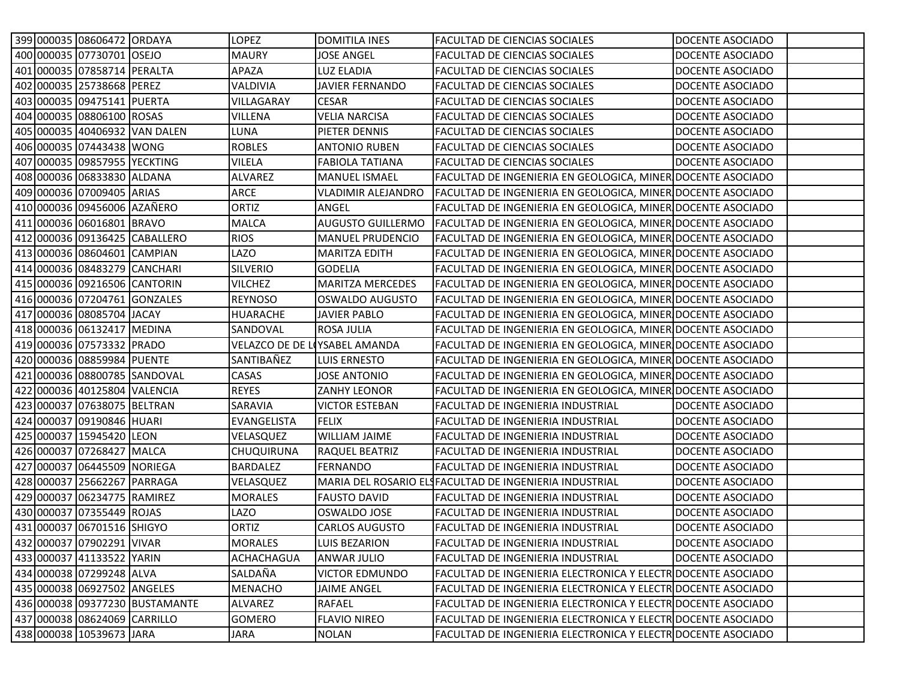| 399 000035 08606472 ORDAYA     | <b>LOPEZ</b>      | <b>DOMITILA INES</b>          | <b>FACULTAD DE CIENCIAS SOCIALES</b>                         | DOCENTE ASOCIADO |
|--------------------------------|-------------------|-------------------------------|--------------------------------------------------------------|------------------|
| 400 000035 07730701 OSEJO      | <b>MAURY</b>      | <b>JOSE ANGEL</b>             | <b>FACULTAD DE CIENCIAS SOCIALES</b>                         | DOCENTE ASOCIADO |
| 401 000035 07858714 PERALTA    | APAZA             | LUZ ELADIA                    | <b>FACULTAD DE CIENCIAS SOCIALES</b>                         | DOCENTE ASOCIADO |
| 402 000035 25738668 PEREZ      | VALDIVIA          | <b>JAVIER FERNANDO</b>        | <b>FACULTAD DE CIENCIAS SOCIALES</b>                         | DOCENTE ASOCIADO |
| 403 000035 09475141 PUERTA     | VILLAGARAY        | <b>CESAR</b>                  | <b>FACULTAD DE CIENCIAS SOCIALES</b>                         | DOCENTE ASOCIADO |
| 404 000035 08806100 ROSAS      | VILLENA           | <b>VELIA NARCISA</b>          | <b>FACULTAD DE CIENCIAS SOCIALES</b>                         | DOCENTE ASOCIADO |
| 405 000035 40406932 VAN DALEN  | LUNA              | PIETER DENNIS                 | <b>FACULTAD DE CIENCIAS SOCIALES</b>                         | DOCENTE ASOCIADO |
| 406 000035 07443438 WONG       | <b>ROBLES</b>     | <b>ANTONIO RUBEN</b>          | <b>FACULTAD DE CIENCIAS SOCIALES</b>                         | DOCENTE ASOCIADO |
| 407 000035 09857955 YECKTING   | <b>VILELA</b>     | <b>FABIOLA TATIANA</b>        | <b>FACULTAD DE CIENCIAS SOCIALES</b>                         | DOCENTE ASOCIADO |
| 408 000036 06833830 ALDANA     | <b>ALVAREZ</b>    | <b>MANUEL ISMAEL</b>          | FACULTAD DE INGENIERIA EN GEOLOGICA, MINER DOCENTE ASOCIADO  |                  |
| 409 000036 07009405 ARIAS      | <b>ARCE</b>       | <b>VLADIMIR ALEJANDRO</b>     | FACULTAD DE INGENIERIA EN GEOLOGICA, MINER DOCENTE ASOCIADO  |                  |
| 410 000036 09456006 AZAÑERO    | ORTIZ             | ANGEL                         | FACULTAD DE INGENIERIA EN GEOLOGICA, MINER DOCENTE ASOCIADO  |                  |
| 411 000036 06016801 BRAVO      | <b>MALCA</b>      | AUGUSTO GUILLERMO             | FACULTAD DE INGENIERIA EN GEOLOGICA, MINER DOCENTE ASOCIADO  |                  |
| 412 000036 09136425 CABALLERO  | <b>RIOS</b>       | <b>MANUEL PRUDENCIO</b>       | FACULTAD DE INGENIERIA EN GEOLOGICA, MINER DOCENTE ASOCIADO  |                  |
| 413 000036 08604601 CAMPIAN    | LAZO              | MARITZA EDITH                 | FACULTAD DE INGENIERIA EN GEOLOGICA, MINER DOCENTE ASOCIADO  |                  |
| 414 000036 08483279 CANCHARI   | <b>SILVERIO</b>   | <b>GODELIA</b>                | FACULTAD DE INGENIERIA EN GEOLOGICA, MINER DOCENTE ASOCIADO  |                  |
| 415 000036 09216506 CANTORIN   | <b>VILCHEZ</b>    | MARITZA MERCEDES              | FACULTAD DE INGENIERIA EN GEOLOGICA, MINER DOCENTE ASOCIADO  |                  |
| 416 000036 07204761 GONZALES   | <b>REYNOSO</b>    | OSWALDO AUGUSTO               | FACULTAD DE INGENIERIA EN GEOLOGICA, MINER DOCENTE ASOCIADO  |                  |
| 417 000036 08085704 JACAY      | <b>HUARACHE</b>   | <b>JAVIER PABLO</b>           | FACULTAD DE INGENIERIA EN GEOLOGICA, MINER DOCENTE ASOCIADO  |                  |
| 418 000036 06132417 MEDINA     | SANDOVAL          | ROSA JULIA                    | FACULTAD DE INGENIERIA EN GEOLOGICA, MINER DOCENTE ASOCIADO  |                  |
| 419 000036 07573332 PRADO      |                   | VELAZCO DE DE LOYSABEL AMANDA | FACULTAD DE INGENIERIA EN GEOLOGICA, MINER DOCENTE ASOCIADO  |                  |
| 420 000036 08859984 PUENTE     | SANTIBAÑEZ        | LUIS ERNESTO                  | FACULTAD DE INGENIERIA EN GEOLOGICA, MINER DOCENTE ASOCIADO  |                  |
| 421 000036 08800785 SANDOVAL   | CASAS             | <b>JOSE ANTONIO</b>           | FACULTAD DE INGENIERIA EN GEOLOGICA, MINER DOCENTE ASOCIADO  |                  |
| 422 000036 40125804 VALENCIA   | <b>REYES</b>      | ZANHY LEONOR                  | FACULTAD DE INGENIERIA EN GEOLOGICA, MINER DOCENTE ASOCIADO  |                  |
| 423 000037 07638075 BELTRAN    | <b>SARAVIA</b>    | <b>VICTOR ESTEBAN</b>         | FACULTAD DE INGENIERIA INDUSTRIAL                            | DOCENTE ASOCIADO |
| 424 000037 09190846 HUARI      | EVANGELISTA       | <b>FELIX</b>                  | FACULTAD DE INGENIERIA INDUSTRIAL                            | DOCENTE ASOCIADO |
| 425 000037 15945420 LEON       | VELASQUEZ         | <b>WILLIAM JAIME</b>          | <b>FACULTAD DE INGENIERIA INDUSTRIAL</b>                     | DOCENTE ASOCIADO |
| 426 000037 07268427 MALCA      | <b>CHUQUIRUNA</b> | RAQUEL BEATRIZ                | FACULTAD DE INGENIERIA INDUSTRIAL                            | DOCENTE ASOCIADO |
| 427 000037 06445509 NORIEGA    | <b>BARDALEZ</b>   | FERNANDO                      | <b>FACULTAD DE INGENIERIA INDUSTRIAL</b>                     | DOCENTE ASOCIADO |
| 428 000037 25662267 PARRAGA    | VELASQUEZ         |                               | MARIA DEL ROSARIO ELSFACULTAD DE INGENIERIA INDUSTRIAL       | DOCENTE ASOCIADO |
| 429 000037 06234775 RAMIREZ    | <b>MORALES</b>    | <b>FAUSTO DAVID</b>           | <b>FACULTAD DE INGENIERIA INDUSTRIAL</b>                     | DOCENTE ASOCIADO |
| 430 000037 07355449 ROJAS      | LAZO              | OSWALDO JOSE                  | FACULTAD DE INGENIERIA INDUSTRIAL                            | DOCENTE ASOCIADO |
| 431 000037 06701516 SHIGYO     | ORTIZ             | CARLOS AUGUSTO                | FACULTAD DE INGENIERIA INDUSTRIAL                            | DOCENTE ASOCIADO |
|                                |                   |                               |                                                              |                  |
| 432 000037 07902291 VIVAR      | <b>MORALES</b>    | LUIS BEZARION                 | FACULTAD DE INGENIERIA INDUSTRIAL                            | DOCENTE ASOCIADO |
| 433 000037 41133522 YARIN      | ACHACHAGUA        | <b>ANWAR JULIO</b>            | <b>FACULTAD DE INGENIERIA INDUSTRIAL</b>                     | DOCENTE ASOCIADO |
| 434 000038 07299248 ALVA       | SALDAÑA           | <b>VICTOR EDMUNDO</b>         | FACULTAD DE INGENIERIA ELECTRONICA Y ELECTRODOCENTE ASOCIADO |                  |
| 435 000038 06927502 ANGELES    | <b>MENACHO</b>    | <b>JAIME ANGEL</b>            | FACULTAD DE INGENIERIA ELECTRONICA Y ELECTRODCENTE ASOCIADO  |                  |
| 436 000038 09377230 BUSTAMANTE | ALVAREZ           | <b>RAFAEL</b>                 | FACULTAD DE INGENIERIA ELECTRONICA Y ELECTRODOCENTE ASOCIADO |                  |
| 437 000038 08624069 CARRILLO   | <b>GOMERO</b>     | <b>FLAVIO NIREO</b>           | FACULTAD DE INGENIERIA ELECTRONICA Y ELECTRODCENTE ASOCIADO  |                  |